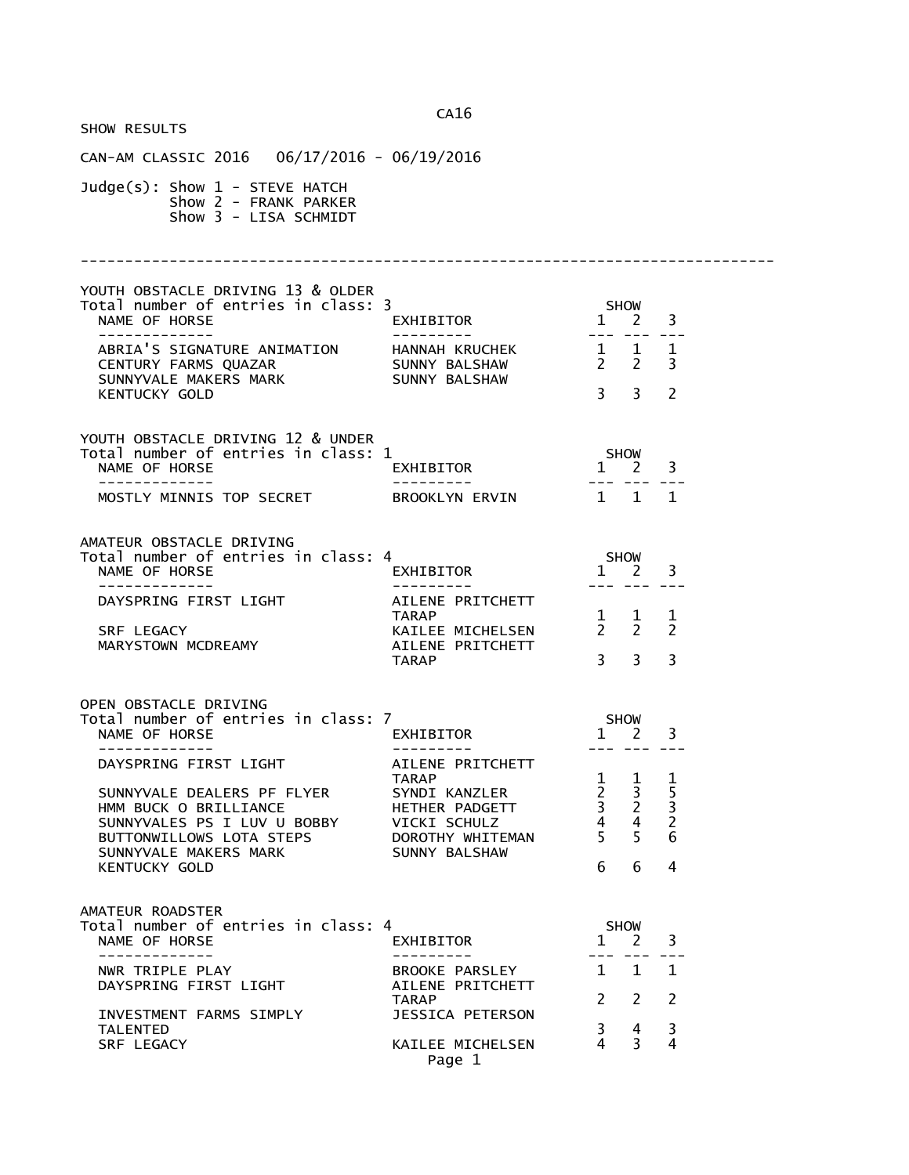SHOW RESULTS

| CAN-AM CLASSIC 2016  06/17/2016 - 06/19/2016                                                                   |                                                                     |                                                             |                          |
|----------------------------------------------------------------------------------------------------------------|---------------------------------------------------------------------|-------------------------------------------------------------|--------------------------|
| $Judge(s)$ : Show $1$ - STEVE HATCH<br>Show 2 - FRANK PARKER<br>Show 3 - LISA SCHMIDT                          |                                                                     |                                                             |                          |
|                                                                                                                |                                                                     |                                                             |                          |
| YOUTH OBSTACLE DRIVING 13 & OLDER<br>Total number of entries in class: 3<br>NAME OF HORSE                      | <b>EXHIBITOR</b>                                                    | <b>SHOW</b><br>$1\quad 2$                                   | 3                        |
|                                                                                                                |                                                                     |                                                             | $---$                    |
| <b>KENTUCKY GOLD</b>                                                                                           |                                                                     | $3 \quad 3$                                                 | $\overline{2}$           |
| YOUTH OBSTACLE DRIVING 12 & UNDER<br>Total number of entries in class: 1<br>NAME OF HORSE                      | EXHIBITOR<br>---------                                              | <b>SHOW</b><br>$1 \t2 \t3$                                  |                          |
| -------------<br>MOSTLY MINNIS TOP SECRET BROOKLYN ERVIN 1 1 1                                                 |                                                                     | ---- --- ---                                                |                          |
| AMATEUR OBSTACLE DRIVING<br>Total number of entries in class: 4<br>NAME OF HORSE                               | EXHIBITOR<br>---------                                              | SHOW<br>$1 \quad 2 \quad 3$                                 |                          |
| DAYSPRING FIRST LIGHT<br>SRF LEGACY                                                                            | AILENE PRITCHETT<br>TARAP 1 1 1<br>KAILEE MICHELSEN 2 2 2           | --- --- ---                                                 |                          |
| MARYSTOWN MCDREAMY                                                                                             | AILENE PRITCHETT<br><b>TARAP</b>                                    | $3^{\circ}$<br>3 <sup>7</sup>                               | 3                        |
| OPEN OBSTACLE DRIVING<br>Total number of entries in class: 7<br>NAME OF HORSE                                  | EXHIBITOR<br>---------                                              | SHOW<br>$1 \quad 2$                                         | 3                        |
| DAYSPRING FIRST LIGHT                                                                                          | AILENE PRITCHETT<br>TARAP                                           | $\frac{1}{2}$ $\frac{1}{2}$ 1                               |                          |
| SUNNYVALE DEALERS PF FLYER<br>HMM BUCK O BRILLIANCE<br>SUNNYVALES PS I LUV U BOBBY<br>BUTTONWILLOWS LOTA STEPS | SYNDI KANZLER<br>HETHER PADGETT<br>VICKI SCHULZ<br>DOROTHY WHITEMAN | $2 \overline{3}$<br>$3 \quad 2 \quad 3$<br>4<br>4<br>5<br>5 | 5<br>$\overline{c}$<br>6 |
| SUNNYVALE MAKERS MARK<br><b>KENTUCKY GOLD</b>                                                                  | SUNNY BALSHAW                                                       | 6<br>6                                                      | 4                        |
| AMATEUR ROADSTER                                                                                               |                                                                     |                                                             |                          |
| Total number of entries in class: 4<br>NAME OF HORSE<br>----------                                             | EXHIBITOR                                                           | <b>SHOW</b><br>$1 \quad$<br>2                               | 3                        |
| NWR TRIPLE PLAY<br>DAYSPRING FIRST LIGHT                                                                       | BROOKE PARSLEY<br>AILENE PRITCHETT                                  | $\mathbf{1}$<br>1<br>2<br>2                                 | $\mathbf{1}$<br>2        |
| INVESTMENT FARMS SIMPLY<br><b>TALENTED</b>                                                                     | <b>TARAP</b><br><b>JESSICA PETERSON</b>                             | 3<br>4                                                      | 3                        |
| SRF LEGACY                                                                                                     | KAILEE MICHELSEN<br>Page 1                                          | $\overline{3}$<br>4                                         | 4                        |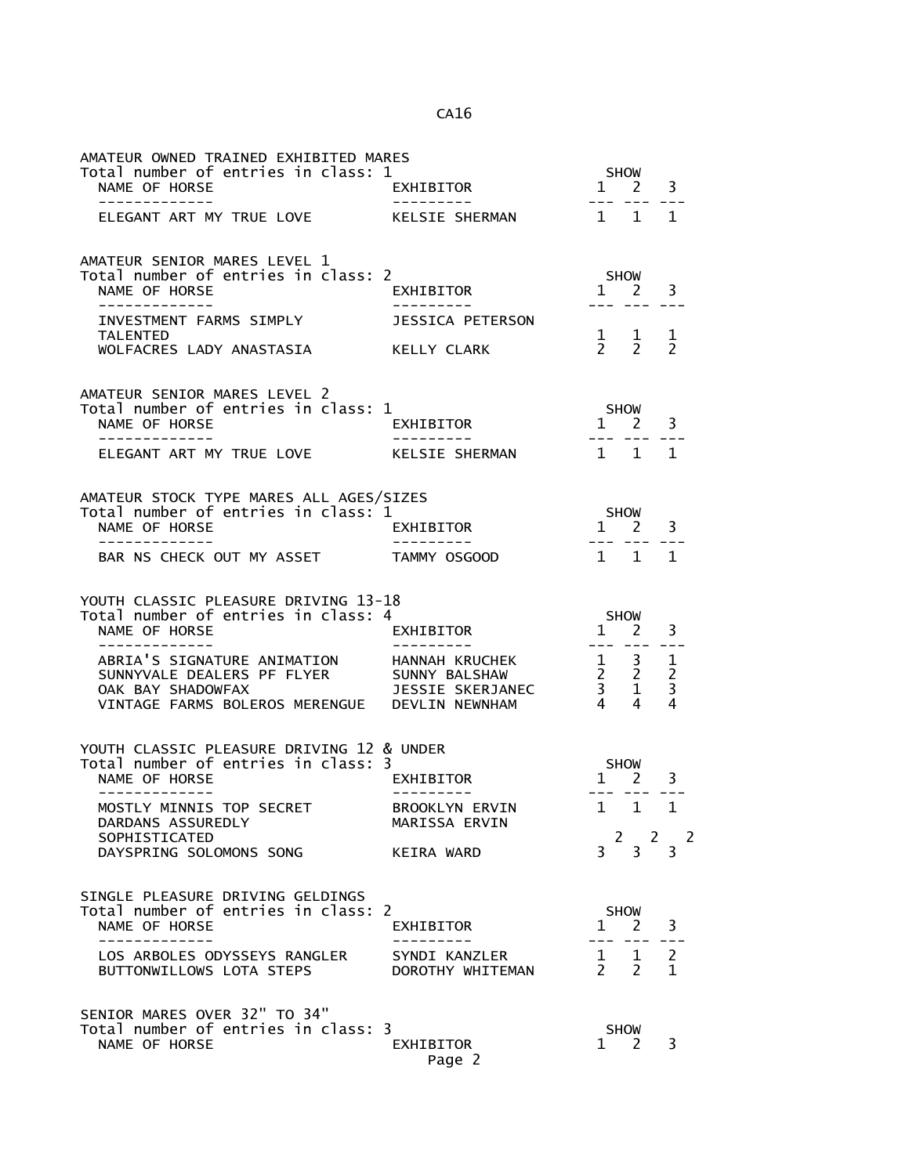| AMATEUR OWNED TRAINED EXHIBITED MARES                                                             |                                   |                                                                                     |                                                     |                                    |
|---------------------------------------------------------------------------------------------------|-----------------------------------|-------------------------------------------------------------------------------------|-----------------------------------------------------|------------------------------------|
| Total number of entries in class: 1<br>NAME OF HORSE<br>-------------                             | EXHIBITOR                         | $  -$                                                                               | SHOW<br>$1 \quad 2$                                 | 3                                  |
| ELEGANT ART MY TRUE LOVE                                                                          | KELSIE SHERMAN                    | 1 1 1                                                                               |                                                     |                                    |
| AMATEUR SENIOR MARES LEVEL 1<br>Total number of entries in class: 2                               |                                   |                                                                                     | SHOW                                                |                                    |
| NAME OF HORSE                                                                                     | <b>EXHIBITOR</b>                  |                                                                                     | $1 \quad 2 \quad 3$                                 |                                    |
| INVESTMENT FARMS SIMPLY<br><b>TALENTED</b><br>WOLFACRES LADY ANASTASIA                            | JESSICA PETERSON<br>KELLY CLARK   |                                                                                     | $\begin{matrix} 1 & 1 \\ 2 & 2 \end{matrix}$        | -1<br>$\overline{\phantom{0}}$     |
|                                                                                                   |                                   |                                                                                     |                                                     |                                    |
| AMATEUR SENIOR MARES LEVEL 2<br>Total number of entries in class: 1<br>NAME OF HORSE              | EXHIBITOR                         | $1 \quad 2 \quad 3$                                                                 | <b>SHOW</b>                                         |                                    |
| -------------<br>ELEGANT ART MY TRUE LOVE                                                         | KELSIE SHERMAN                    | 1 1 1                                                                               | $\begin{array}{cccc} - & - & - & - & - \end{array}$ |                                    |
| AMATEUR STOCK TYPE MARES ALL AGES/SIZES                                                           |                                   |                                                                                     |                                                     |                                    |
| Total number of entries in class: 1<br>NAME OF HORSE<br>______________                            | EXHIBITOR<br>----------           | <b>SHOW</b><br>$1 \quad 2$<br>---- ---                                              |                                                     | 3<br>$=$ $=$ $=$                   |
| BAR NS CHECK OUT MY ASSET TAMMY OSGOOD                                                            |                                   | 1 1 1                                                                               |                                                     |                                    |
| YOUTH CLASSIC PLEASURE DRIVING 13-18<br>Total number of entries in class: 4<br>NAME OF HORSE      | EXHIBITOR                         | $1 \overline{2}$                                                                    | SHOW                                                | 3                                  |
| --------------                                                                                    | ----------                        | ____ ___                                                                            |                                                     |                                    |
| SUNNYVALE DEALERS PF FLYER<br>OAK BAY SHADOWFAX<br>VINTAGE FARMS BOLEROS MERENGUE  DEVLIN NEWNHAM | SUNNY BALSHAW<br>JESSIE SKERJANEC | $\begin{array}{ccccc} 1 & 3 & 1 \\ 2 & 2 & 2 \\ 3 & 1 & 3 \\ 4 & 4 & 4 \end{array}$ |                                                     |                                    |
| YOUTH CLASSIC PLEASURE DRIVING 12 & UNDER                                                         |                                   |                                                                                     |                                                     |                                    |
| Total number of entries in class: 3                                                               |                                   |                                                                                     | <b>SHOW</b>                                         |                                    |
| NAME OF HORSE<br>-------------                                                                    | EXHIBITOR                         | $1 \quad 2$                                                                         | $- - - -$                                           | 3                                  |
| MOSTLY MINNIS TOP SECRET<br>DARDANS ASSUREDLY<br>SOPHISTICATED                                    | BROOKLYN ERVIN<br>MARISSA ERVIN   |                                                                                     | 1 1                                                 | $\mathbf 1$<br>$2 \quad 2 \quad 2$ |
| DAYSPRING SOLOMONS SONG                                                                           | KEIRA WARD                        |                                                                                     | $3 \overline{3}$                                    | $\overline{3}$                     |
| SINGLE PLEASURE DRIVING GELDINGS<br>Total number of entries in class: 2                           |                                   |                                                                                     | SHOW                                                |                                    |
| NAME OF HORSE                                                                                     | EXHIBITOR                         |                                                                                     | $1 \quad 2$                                         | 3                                  |
| LOS ARBOLES ODYSSEYS RANGLER<br>BUTTONWILLOWS LOTA STEPS                                          | SYNDI KANZLER<br>DOROTHY WHITEMAN | $\mathbf{1}$<br>$\mathcal{P}$                                                       | $\mathbf{1}$<br>$\overline{2}$                      | $\overline{2}$<br>1                |
| SENIOR MARES OVER 32" TO 34"<br>Total number of entries in class: 3                               |                                   |                                                                                     |                                                     |                                    |
| NAME OF HORSE                                                                                     | EXHIBITOR<br>Page 2               |                                                                                     | SHOW<br>1 2                                         | 3                                  |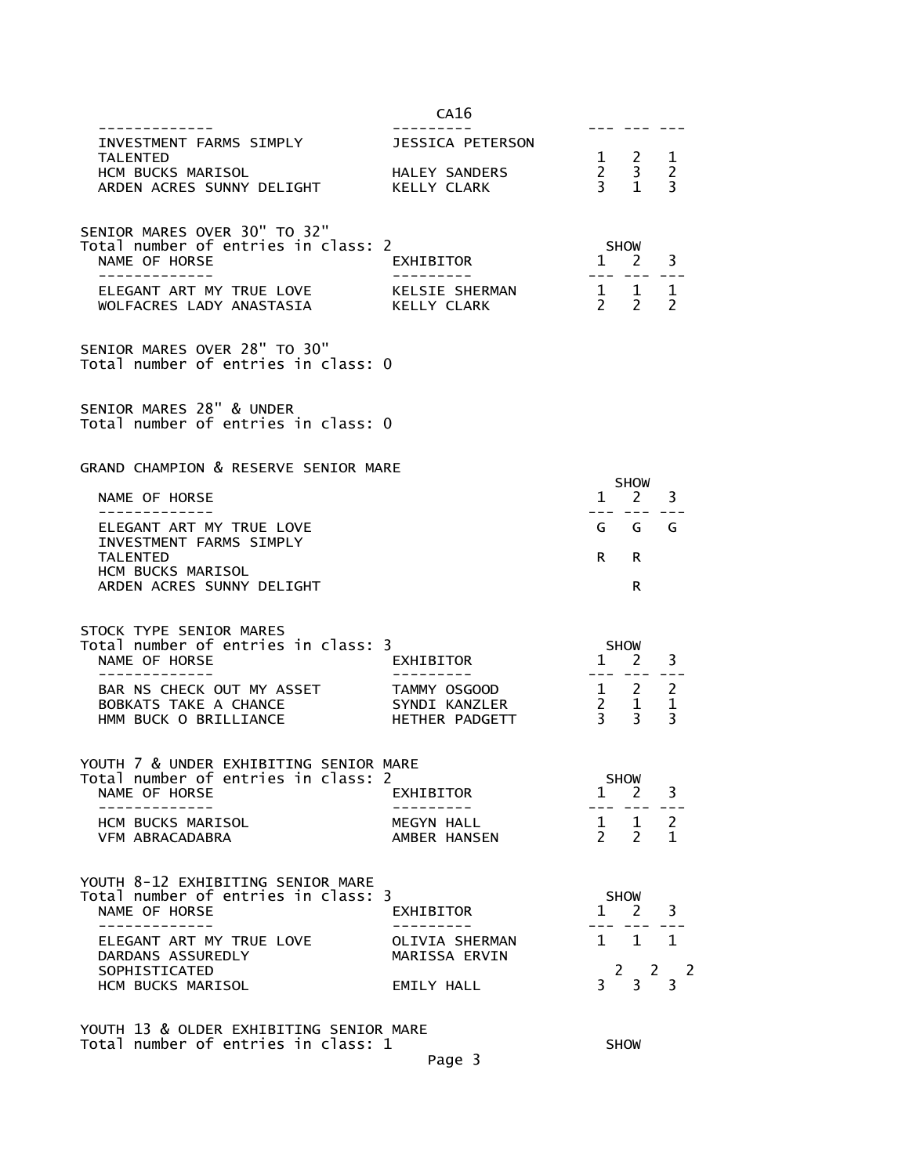|                                                                                                                 | CA16                            |                         |                                                                        |                            |
|-----------------------------------------------------------------------------------------------------------------|---------------------------------|-------------------------|------------------------------------------------------------------------|----------------------------|
| . _ _ _ _ _ _ _ _ _ _ _ _<br>INVESTMENT FARMS SIMPLY<br>TALENTED                                                | .<br>JESSICA PETERSON           |                         |                                                                        |                            |
| HCM BUCKS MARISOL<br>ARDEN ACRES SUNNY DELIGHT                                                                  | HALEY SANDERS<br>KELLY CLARK    |                         | $\begin{array}{ccccc} 1 & 2 & 1 \\ 2 & 3 & 2 \\ 3 & 1 & 3 \end{array}$ |                            |
| SENIOR MARES OVER 30" TO 32"<br>Total number of entries in class: 2<br>NAME OF HORSE<br>--------------          | <b>EXHIBITOR</b><br>. <u>.</u>  |                         | SHOW<br>$1 \t2 \t3$                                                    | ---                        |
| ELEGANT ART MY TRUE LOVE<br>WOLFACRES LADY ANASTASIA KELLY CLARK                                                | KELSIE SHERMAN                  |                         | $\begin{array}{cccc}\n1 & 1 & 1 \\ 2 & 2 & 2\n\end{array}$             |                            |
| SENIOR MARES OVER 28" TO 30"<br>Total number of entries in class: 0                                             |                                 |                         |                                                                        |                            |
| SENIOR MARES 28" & UNDER<br>Total number of entries in class: 0                                                 |                                 |                         |                                                                        |                            |
| GRAND CHAMPION & RESERVE SENIOR MARE                                                                            |                                 |                         |                                                                        |                            |
| NAME OF HORSE                                                                                                   |                                 |                         | <b>SHOW</b><br>$1 \quad 2 \quad 3$                                     |                            |
| -------------<br>ELEGANT ART MY TRUE LOVE<br>INVESTMENT FARMS SIMPLY                                            |                                 |                         | $- - - - - -$<br>G G G                                                 |                            |
| <b>TALENTED</b><br>HCM BUCKS MARISOL<br>ARDEN ACRES SUNNY DELIGHT                                               |                                 |                         | $R$ $R$<br>R                                                           |                            |
| STOCK TYPE SENIOR MARES<br>Total number of entries in class: 3<br>NAME OF HORSE<br>--------------               | EXHIBITOR<br>- - - - - - - - -  |                         | SHOW<br>$1 \quad 2 \quad 3$                                            |                            |
| BAR NS CHECK OUT MY ASSET TAMMY OSGOOD<br>BOBKATS TAKE A CHANCE SYNDI KANZLER<br>HMM BUCK O BRILLIANCE          | SYNDI KANZLER<br>HETHER PADGETT |                         | $\begin{array}{ccccc} 1 & 2 & 2 \\ 2 & 1 & 1 \\ 3 & 3 & 3 \end{array}$ |                            |
| YOUTH 7 & UNDER EXHIBITING SENIOR MARE<br>Total number of entries in class: 2<br>NAME OF HORSE<br>_____________ | EXHIBITOR                       | $\mathbf{1}$<br>$- - -$ | <b>SHOW</b><br><sup>2</sup>                                            | 3<br>$- - -$               |
| HCM BUCKS MARISOL<br>VFM ABRACADABRA                                                                            | MEGYN HALL<br>AMBER HANSEN      | $\overline{2}$          | 1 1<br>$\overline{2}$                                                  | 2<br>1                     |
| YOUTH 8-12 EXHIBITING SENIOR MARE<br>Total number of entries in class: 3<br>NAME OF HORSE                       | EXHIBITOR                       |                         | <b>SHOW</b><br>$1 \quad 2 \quad 3$                                     |                            |
| ELEGANT ART MY TRUE LOVE<br>DARDANS ASSUREDLY<br>SOPHISTICATED                                                  | OLIVIA SHERMAN<br>MARISSA ERVIN |                         | $1 \quad 1 \quad 1$<br>$3^2$ 3<br>$\overline{\mathbf{2}}$              | $\sim$ 2<br>$\overline{3}$ |
| HCM BUCKS MARISOL                                                                                               | EMILY HALL                      |                         |                                                                        |                            |

YOUTH 13 & OLDER EXHIBITING SENIOR MARE Total number of entries in class:  $1$   $\hspace{1.6cm}$  SHOW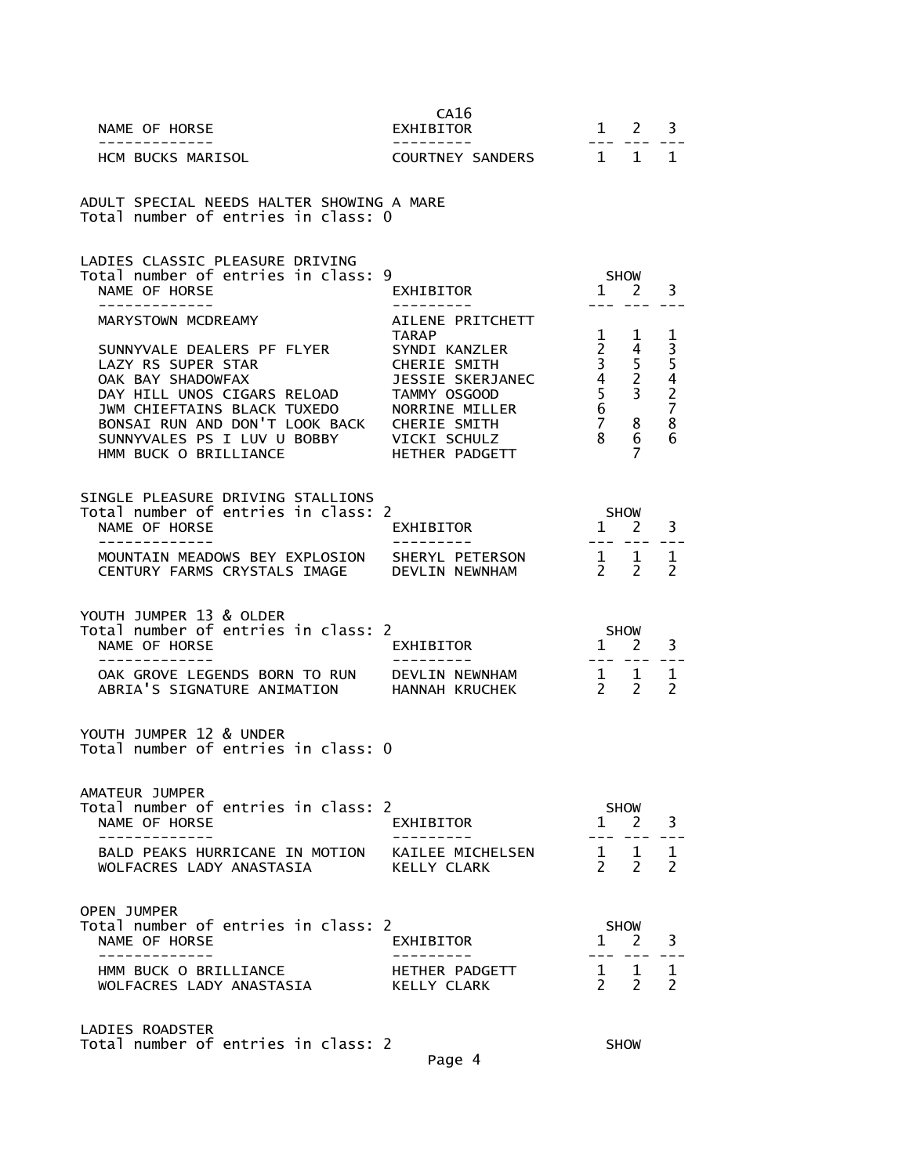| NAME OF HORSE                                                                                                                                                                                                                            | CA16                                                                         |                                                          |                                              |                           |
|------------------------------------------------------------------------------------------------------------------------------------------------------------------------------------------------------------------------------------------|------------------------------------------------------------------------------|----------------------------------------------------------|----------------------------------------------|---------------------------|
| --------------<br>HCM BUCKS MARISOL                                                                                                                                                                                                      |                                                                              |                                                          |                                              |                           |
| ADULT SPECIAL NEEDS HALTER SHOWING A MARE<br>Total number of entries in class: 0                                                                                                                                                         |                                                                              |                                                          |                                              |                           |
| LADIES CLASSIC PLEASURE DRIVING<br>Total number of entries in class: 9                                                                                                                                                                   |                                                                              |                                                          | <b>SHOW</b>                                  |                           |
| NAME OF HORSE                                                                                                                                                                                                                            | EXHIBITOR<br>---------                                                       | $1 \t2 \t3$                                              | --- --- ---                                  |                           |
| MARYSTOWN MCDREAMY                                                                                                                                                                                                                       | AILENE PRITCHETT                                                             |                                                          |                                              | $\mathbf 1$               |
| MARYSIOWN MCDREAMY<br>SUNNYVALE DEALERS PF FLYER<br>LAZY RS SUPER STAR  CHERIE SMITH  3 5<br>OAK BAY SHADOWFAX  DEALERS PF FLYER  CHERIE SMITH  3 5<br>OAK BAY SHADOWFAX  DEALERS RELOAD  TAMMY OSGOOD  5 3<br>JWN CHLEFTAINS BLACK TUXE |                                                                              |                                                          |                                              |                           |
|                                                                                                                                                                                                                                          |                                                                              |                                                          |                                              | $35$<br>$4$<br>$2$<br>$7$ |
|                                                                                                                                                                                                                                          |                                                                              |                                                          |                                              |                           |
|                                                                                                                                                                                                                                          |                                                                              |                                                          |                                              | 8<br>6                    |
| HMM BUCK O BRILLIANCE                                                                                                                                                                                                                    |                                                                              |                                                          | $\overline{7}$                               |                           |
| SINGLE PLEASURE DRIVING STALLIONS                                                                                                                                                                                                        |                                                                              |                                                          |                                              |                           |
| Total number of entries in class: 2<br>NAME OF HORSE                                                                                                                                                                                     |                                                                              |                                                          |                                              |                           |
| -----------<br>MOUNTAIN MEADOWS BEY EXPLOSION SHERYL PETERSON 1 1 1<br>CENTURY FARMS CRYSTALS IMAGE DEVLIN NEWNHAM 2 2 2                                                                                                                 |                                                                              | . <i>.</i>                                               |                                              |                           |
|                                                                                                                                                                                                                                          |                                                                              |                                                          |                                              |                           |
| YOUTH JUMPER 13 & OLDER                                                                                                                                                                                                                  |                                                                              |                                                          |                                              |                           |
| Total number of entries in class: 2<br>NAME OF HORSE                                                                                                                                                                                     | EXHIBITOR SHOW<br>$\begin{array}{ccc}\n 1 & 2 & 3 \\  2 & 3 & \n\end{array}$ |                                                          |                                              |                           |
| --------------                                                                                                                                                                                                                           |                                                                              |                                                          |                                              |                           |
| OAK GROVE LEGENDS BORN TO RUN DEVLIN NEWNHAM 1 1 1<br>ABRIA'S SIGNATURE ANIMATION HANNAH KRUCHEK 2 2 2                                                                                                                                   |                                                                              |                                                          |                                              |                           |
| YOUTH JUMPER 12 & UNDER                                                                                                                                                                                                                  |                                                                              |                                                          |                                              |                           |
| Total number of entries in class: 0                                                                                                                                                                                                      |                                                                              |                                                          |                                              |                           |
| AMATEUR JUMPER                                                                                                                                                                                                                           |                                                                              |                                                          |                                              |                           |
| Total number of entries in class: 2<br>NAME OF HORSE                                                                                                                                                                                     | EXHIBITOR                                                                    |                                                          | SHOW<br>$1 \quad 2$                          | 3                         |
| _________<br>BALD PEAKS HURRICANE IN MOTION KAILEE MICHELSEN                                                                                                                                                                             |                                                                              |                                                          |                                              |                           |
| WOLFACRES LADY ANASTASIA                                                                                                                                                                                                                 | KELLY CLARK                                                                  | $\begin{array}{cccc} 1 & 1 & 1 \\ 2 & 2 & 2 \end{array}$ |                                              |                           |
| <b>OPEN JUMPER</b>                                                                                                                                                                                                                       |                                                                              |                                                          |                                              |                           |
| Total number of entries in class: 2<br>NAME OF HORSE                                                                                                                                                                                     | EXHIBITOR                                                                    |                                                          | SHOW<br>$1\overline{2}$                      | 3                         |
| -----------<br>HMM BUCK O BRILLIANCE                                                                                                                                                                                                     | HETHER PADGETT                                                               |                                                          |                                              | 1                         |
| WOLFACRES LADY ANASTASIA                                                                                                                                                                                                                 | KELLY CLARK                                                                  |                                                          | $\begin{matrix} 1 & 1 \\ 2 & 2 \end{matrix}$ | $\mathcal{P}$             |
| <b>LADIES ROADSTER</b>                                                                                                                                                                                                                   |                                                                              |                                                          |                                              |                           |
| Total number of entries in class: 2                                                                                                                                                                                                      |                                                                              |                                                          | <b>SHOW</b>                                  |                           |

Page 4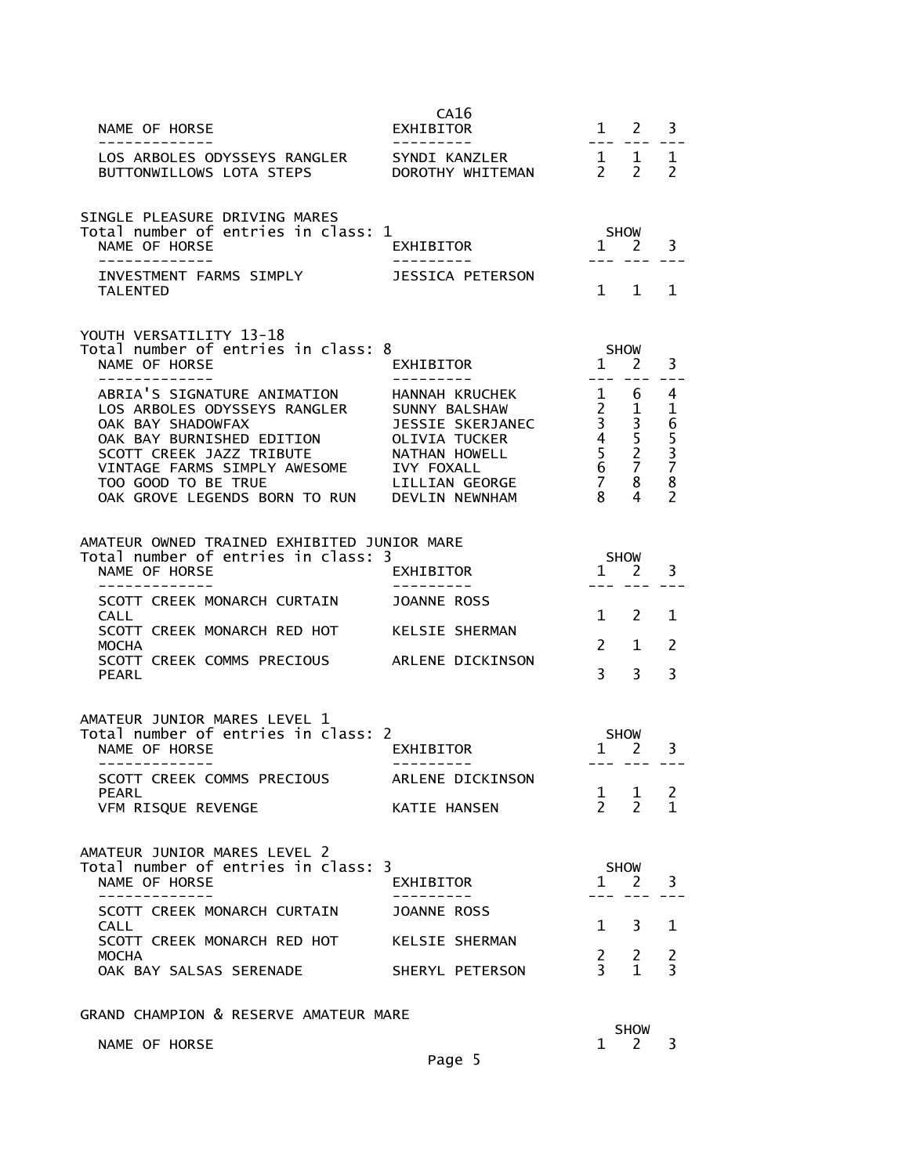| NAME OF HORSE                                                                                                                                                                                                                                                                                                                         | CA16<br><b>EXHIBITOR</b>                                                                                                                                             | $1 \quad 2$                                |                               | 3                                                 |  |
|---------------------------------------------------------------------------------------------------------------------------------------------------------------------------------------------------------------------------------------------------------------------------------------------------------------------------------------|----------------------------------------------------------------------------------------------------------------------------------------------------------------------|--------------------------------------------|-------------------------------|---------------------------------------------------|--|
| -------------<br>LOS ARBOLES ODYSSEYS RANGLER SYNDI KANZLER 1 1 1<br>BUTTONWILLOWS LOTA STEPS DOROTHY WHITEMAN 2 2 2                                                                                                                                                                                                                  |                                                                                                                                                                      | $\frac{1}{2}$                              |                               |                                                   |  |
| SINGLE PLEASURE DRIVING MARES<br>Total number of entries in class: 1                                                                                                                                                                                                                                                                  |                                                                                                                                                                      |                                            |                               |                                                   |  |
| NAME OF HORSE<br>------------                                                                                                                                                                                                                                                                                                         |                                                                                                                                                                      |                                            | --- --- ---                   | 3                                                 |  |
| INVESTMENT FARMS SIMPLY TESSICA PETERSON<br><b>TALENTED</b>                                                                                                                                                                                                                                                                           |                                                                                                                                                                      |                                            | $1 \quad 1$                   | $\mathbf{1}$                                      |  |
| YOUTH VERSATILITY 13-18<br>Total number of entries in class: 8                                                                                                                                                                                                                                                                        |                                                                                                                                                                      |                                            |                               |                                                   |  |
| NAME OF HORSE<br>-------------                                                                                                                                                                                                                                                                                                        | EXHIBITOR<br>---------                                                                                                                                               | SHOW<br>1 2<br>$-- - - - -$                |                               | 3<br>$- - -$                                      |  |
| ABRIA'S SIGNATURE ANIMATION HANNAH KRUCHEK 1 6 4<br>LOS ARBOLES ODYSSEYS RANGLER<br>OAK BAY SHADOWFAX<br>OAK BAY BURNISHED EDITION OLIVIA TUCKER<br>SCOTT CREEK JAZZ TRIBUTE           NATHAN HOWELL<br>VINTAGE FARMS SIMPLY AWESOME IVY FOXALL<br>TOO GOOD TO BE TRUE LILLIAN GEORGE<br>OAK GROVE LEGENDS BORN TO RUN DEVLIN NEWNHAM | FRANNAH KNOCHEK<br>SUNNY BALSHAW 2 1<br>JESSIE SKERJANEC 3 3<br>OLIVIA TUCKER 4 5<br>NATHAN HOWELL 5 2<br>IVY FOXALL 6 7<br>LILLIAN GEORGE 7 8<br>DEVLIN NEWNHAM 8 4 |                                            |                               | $\mathbf{1}$<br>6537<br>$\bf 8$<br>$\overline{2}$ |  |
| AMATEUR OWNED TRAINED EXHIBITED JUNIOR MARE                                                                                                                                                                                                                                                                                           |                                                                                                                                                                      |                                            |                               |                                                   |  |
| Total number of entries in class: 3<br>NAME OF HORSE<br>-------------                                                                                                                                                                                                                                                                 | <b>EXHIBITOR</b><br>----------                                                                                                                                       | <b>SHOW</b><br>$1 \quad 2$<br>---- --- --- |                               | 3                                                 |  |
| SCOTT CREEK MONARCH CURTAIN JOANNE ROSS<br><b>CALL</b>                                                                                                                                                                                                                                                                                |                                                                                                                                                                      |                                            | $1 \quad 2$                   | 1                                                 |  |
| SCOTT CREEK MONARCH RED HOT KELSIE SHERMAN<br><b>MOCHA</b>                                                                                                                                                                                                                                                                            |                                                                                                                                                                      | $2^{\sim}$                                 | $\mathbf{1}$                  | 2                                                 |  |
| SCOTT CREEK COMMS PRECIOUS ARLENE DICKINSON<br>PEARL                                                                                                                                                                                                                                                                                  |                                                                                                                                                                      | $3^{\circ}$                                | $\overline{3}$                | 3                                                 |  |
| AMATEUR JUNIOR MARES LEVEL 1<br>Total number of entries in class: 2                                                                                                                                                                                                                                                                   |                                                                                                                                                                      | <b>SHOW</b>                                |                               |                                                   |  |
| NAME OF HORSE<br>-------------                                                                                                                                                                                                                                                                                                        | EXHIBITOR<br>---------                                                                                                                                               | $1 \nightharpoonup 2 \nightharpoonup 3$    | --- --- ---                   |                                                   |  |
| SCOTT CREEK COMMS PRECIOUS<br>PEARL<br>VFM RISQUE REVENGE                                                                                                                                                                                                                                                                             | ARLENE DICKINSON<br>KATIE HANSEN                                                                                                                                     | $\overline{2}$                             | $1 \quad 1$<br>$\overline{2}$ | 2<br>1                                            |  |
|                                                                                                                                                                                                                                                                                                                                       |                                                                                                                                                                      |                                            |                               |                                                   |  |
| AMATEUR JUNIOR MARES LEVEL 2<br>Total number of entries in class: 3<br>NAME OF HORSE                                                                                                                                                                                                                                                  | EXHIBITOR                                                                                                                                                            |                                            | <b>SHOW</b><br>$1 \quad 2$    | 3                                                 |  |
| -------<br>SCOTT CREEK MONARCH CURTAIN                                                                                                                                                                                                                                                                                                | JOANNE ROSS                                                                                                                                                          |                                            |                               |                                                   |  |
| CALL<br>SCOTT CREEK MONARCH RED HOT                                                                                                                                                                                                                                                                                                   | KELSIE SHERMAN                                                                                                                                                       | $1 \quad$                                  | $\mathbf{3}$                  | 1                                                 |  |
| <b>MOCHA</b><br>OAK BAY SALSAS SERENADE                                                                                                                                                                                                                                                                                               | SHERYL PETERSON                                                                                                                                                      | $\frac{2}{3}$                              | 2<br>$\mathbf{1}$             | 2<br>$\overline{3}$                               |  |
| CRAND CHAMPTON & RECERVE AMATEUR MARE                                                                                                                                                                                                                                                                                                 |                                                                                                                                                                      |                                            |                               |                                                   |  |

GRAND CHAMPION & RESERVE AMATEUR MARE

NAME OF HORSE

Page 5

 $1 \begin{array}{c} \text{SHOW} \\ \text{2} \end{array}$  3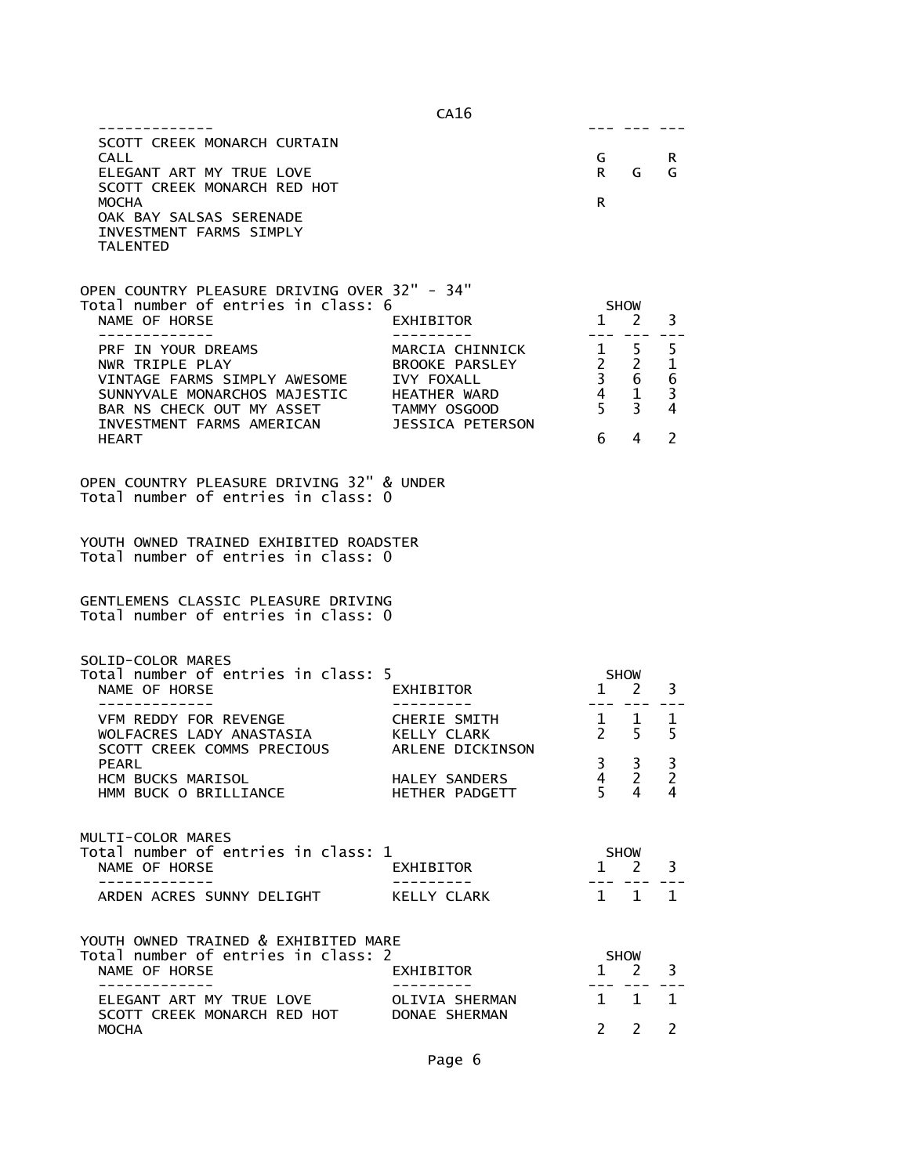| SCOTT CREEK MONARCH CURTAIN<br><b>CALL</b><br>ELEGANT ART MY TRUE LOVE<br>SCOTT CREEK MONARCH RED HOT<br><b>MOCHA</b><br>OAK BAY SALSAS SERENADE<br>INVESTMENT FARMS SIMPLY<br><b>TALENTED</b>                                                                |                                   | G<br>R i<br>R                                                                   | --- --- -<br>G                        | R<br>G                                                           |
|---------------------------------------------------------------------------------------------------------------------------------------------------------------------------------------------------------------------------------------------------------------|-----------------------------------|---------------------------------------------------------------------------------|---------------------------------------|------------------------------------------------------------------|
| OPEN COUNTRY PLEASURE DRIVING OVER 32" - 34"<br>Total number of entries in class: 6<br>NAME OF HORSE<br>------------                                                                                                                                          | EXHIBITOR                         |                                                                                 | <b>SHOW</b><br>$1 \quad 2$<br>--- --- | $\overline{3}$                                                   |
| PRF IN YOUR DREAMS<br>NWR TRIPLE PLAY<br>NWR TRIPLE PLAY<br>VINTAGE FARMS SIMPLY AWESOME      IVY FOXALL<br>SUNNYVALE MONARCHOS MAJESTIC HEATHER WARD<br>BAR NS CHECK OUT MY ASSET TAMMY OSGOOD<br>INVESTMENT FARMS AMERICAN JESSICA PETERSON<br><b>HEART</b> | MARCIA CHINNICK<br>BROOKE PARSLEY | $\begin{array}{ccc} 1 & 5 \\ 2 & 2 \\ 3 & 6 \\ 4 & 1 \\ 5 & 3 \end{array}$<br>6 | 4                                     | 5<br>$\mathbf{1}$<br>$6\phantom{.}6$<br>3<br>$\overline{4}$<br>2 |
| OPEN COUNTRY PLEASURE DRIVING 32" & UNDER<br>Total number of entries in class: O                                                                                                                                                                              |                                   |                                                                                 |                                       |                                                                  |
| YOUTH OWNED TRAINED EXHIBITED ROADSTER<br>Total number of entries in class: O<br>GENTLEMENS CLASSIC PLEASURE DRIVING<br>Total number of entries in class: O                                                                                                   |                                   |                                                                                 |                                       |                                                                  |
| SOLID-COLOR MARES<br>Total number of entries in class: 5<br>NAME OF HORSE                                                                                                                                                                                     | EXHIBITOR                         | SHOW<br>$1 \quad 2$                                                             |                                       | 3                                                                |
| . _ _ _ _ _ _ _ _ _ _ _ _<br>VFM REDDY FOR REVENGE<br>WOLFACRES LADY ANASTASIA KELLY CLARK<br>SCOTT CREEK COMMS PRECIOUS ARLENE DICKINSON                                                                                                                     | ----------<br>CHERIE SMITH        | $\begin{array}{cc} 1 & 1 \\ 2 & 5 \end{array}$                                  |                                       | 1<br>5                                                           |
| <b>PEARL</b><br>HCM BUCKS MARISOL<br>HMM BUCK O BRILLIANCE                                                                                                                                                                                                    | HALEY SANDERS<br>HETHER PADGETT   | 3 <sup>7</sup><br>4<br>$5 \quad 4$                                              | -3<br>2                               | 3<br>$\overline{2}$<br>4                                         |
| MULTI-COLOR MARES<br>Total number of entries in class: 1<br>NAME OF HORSE                                                                                                                                                                                     | EXHIBITOR                         |                                                                                 | SHOW<br>$1 \quad 2$                   | 3                                                                |
| . _ _ _ _ _ _ _ _ _ _ _ _<br>ARDEN ACRES SUNNY DELIGHT                                                                                                                                                                                                        | KELLY CLARK                       |                                                                                 | 1 1 1                                 |                                                                  |
| YOUTH OWNED TRAINED & EXHIBITED MARE<br>Total number of entries in class: 2                                                                                                                                                                                   |                                   |                                                                                 | SHOW                                  |                                                                  |
| NAME OF HORSE<br>. <u>.</u> .<br>ELEGANT ART MY TRUE LOVE                                                                                                                                                                                                     | EXHIBITOR<br>OLIVIA SHERMAN       | $\mathbf{1}$                                                                    | $1 \quad 2$<br>$\mathbf{1}$           | 3<br>1.                                                          |
| SCOTT CREEK MONARCH RED HOT<br><b>MOCHA</b>                                                                                                                                                                                                                   | DONAE SHERMAN                     |                                                                                 | $2 \quad 2$                           | 2                                                                |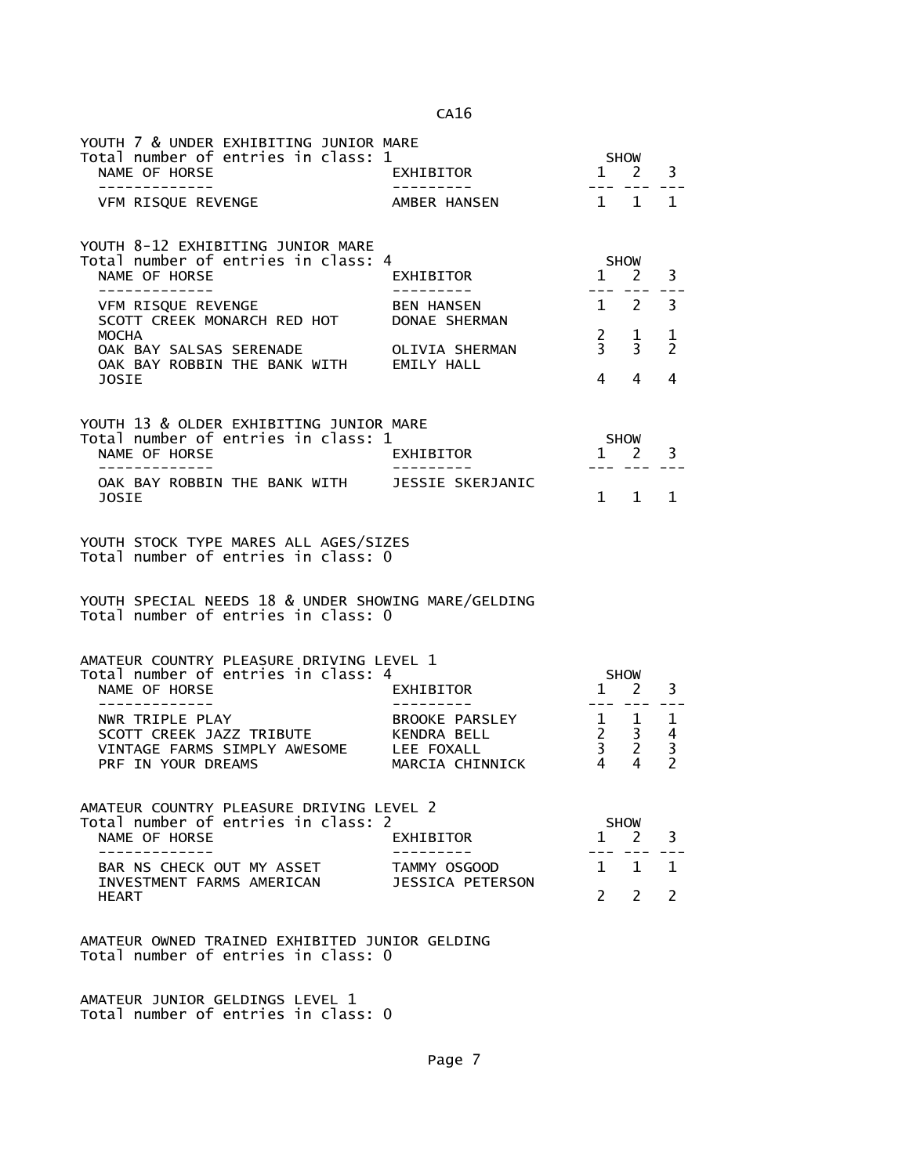| YOUTH 7 & UNDER EXHIBITING JUNIOR MARE<br>Total number of entries in class: 1                                                       |                                                  |               | SHOW                                                              |                               |
|-------------------------------------------------------------------------------------------------------------------------------------|--------------------------------------------------|---------------|-------------------------------------------------------------------|-------------------------------|
| NAME OF HORSE                                                                                                                       | EXHIBITOR                                        |               | $1 \quad 2$<br>222 222 C                                          | 3                             |
| VFM RISQUE REVENGE                                                                                                                  | AMBER HANSEN                                     |               | $1 \quad 1$                                                       | 1                             |
| YOUTH 8-12 EXHIBITING JUNIOR MARE<br>Total number of entries in class: 4<br>NAME OF HORSE                                           | EXHIBITOR                                        |               | SHOW<br>$1 \quad 2$                                               | 3                             |
| --------------<br>VFM RISQUE REVENGE<br>SCOTT CREEK MONARCH RED HOT                                                                 | ----------<br><b>BEN HANSEN</b><br>DONAE SHERMAN | $1 \quad 2$   |                                                                   | 3                             |
| <b>MOCHA</b><br>OAK BAY SALSAS SERENADE<br>OAK BAY ROBBIN THE BANK WITH EMILY HALL                                                  | OLIVIA SHERMAN                                   |               | $\begin{matrix} 2 & 1 \\ 3 & 3 \end{matrix}$                      | 1<br>2                        |
| JOSIE                                                                                                                               |                                                  | 4             | $\overline{4}$                                                    | 4                             |
| YOUTH 13 & OLDER EXHIBITING JUNIOR MARE<br>Total number of entries in class: 1                                                      |                                                  |               | SHOW                                                              |                               |
| NAME OF HORSE<br>--------------                                                                                                     | EXHIBITOR<br>- - - - - - - - -                   | $\mathbf{1}$  | 2                                                                 | 3                             |
| OAK BAY ROBBIN THE BANK WITH JESSIE SKERJANIC<br>JOSIE                                                                              |                                                  |               | $1 \quad 1$                                                       | 1                             |
| YOUTH STOCK TYPE MARES ALL AGES/SIZES<br>Total number of entries in class: 0<br>YOUTH SPECIAL NEEDS 18 & UNDER SHOWING MARE/GELDING |                                                  |               |                                                                   |                               |
| Total number of entries in class: 0                                                                                                 |                                                  |               |                                                                   |                               |
| AMATEUR COUNTRY PLEASURE DRIVING LEVEL 1                                                                                            |                                                  |               |                                                                   |                               |
| Total number of entries in class: 4<br>NAME OF HORSE<br>-----------                                                                 | EXHIBITOR                                        | $- - - -$     | <b>SHOW</b><br>1 2                                                | 3                             |
| NWR TRIPLE PLAY<br>SCOTT CREEK JAZZ TRIBUTE                                                                                         | BROOKE PARSLEY<br>KENDRA BELL                    |               | $\begin{array}{ccc} 1 & 1 \\ 2 & 3 \\ 3 & 2 \\ 4 & 4 \end{array}$ | 1<br>$\overline{4}$           |
| VINTAGE FARMS SIMPLY AWESOME LEE FOXALL<br>PRF IN YOUR DREAMS                                                                       | MARCIA CHINNICK                                  |               |                                                                   | 3<br>$\overline{\phantom{a}}$ |
| AMATEUR COUNTRY PLEASURE DRIVING LEVEL 2<br>Total number of entries in class: 2                                                     |                                                  |               | <b>SHOW</b>                                                       |                               |
| NAME OF HORSE                                                                                                                       | EXHIBITOR                                        | 1             | 2                                                                 | 3                             |
| BAR NS CHECK OUT MY ASSET<br>INVESTMENT FARMS AMERICAN                                                                              | TAMMY OSGOOD<br>JESSICA PETERSON                 | $\mathbf{1}$  | $\mathbf{1}$                                                      | 1                             |
| <b>HEART</b>                                                                                                                        |                                                  | $\mathcal{P}$ | $\mathcal{P}$                                                     | $\mathcal{P}$                 |
| AMATEUR OWNED TRAINED EXHIBITED JUNIOR GELDING<br>Total number of entries in class: 0                                               |                                                  |               |                                                                   |                               |

AMATEUR JUNIOR GELDINGS LEVEL 1 Total number of entries in class: 0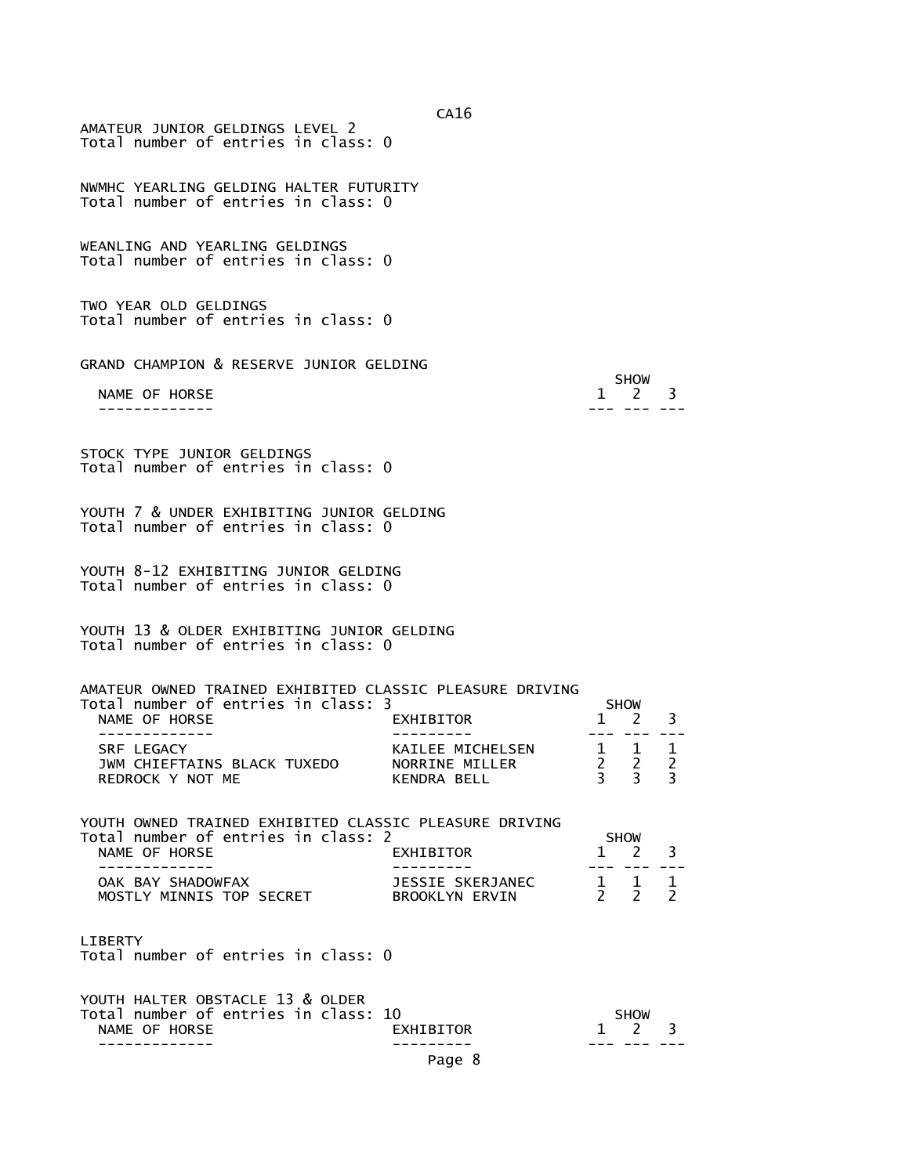| AMATEUR JUNIOR GELDINGS LEVEL 2<br>Total number of entries in class: 0                                           | CA16                                              |                                              |                             |                               |
|------------------------------------------------------------------------------------------------------------------|---------------------------------------------------|----------------------------------------------|-----------------------------|-------------------------------|
| NWMHC YEARLING GELDING HALTER FUTURITY<br>Total number of entries in class: 0                                    |                                                   |                                              |                             |                               |
| WEANLING AND YEARLING GELDINGS<br>Total number of entries in class: 0                                            |                                                   |                                              |                             |                               |
| TWO YEAR OLD GELDINGS<br>Total number of entries in class: 0                                                     |                                                   |                                              |                             |                               |
| GRAND CHAMPION & RESERVE JUNIOR GELDING                                                                          |                                                   |                                              |                             |                               |
| NAME OF HORSE                                                                                                    |                                                   |                                              | <b>SHOW</b><br>1 2          | 3                             |
|                                                                                                                  |                                                   |                                              |                             |                               |
| STOCK TYPE JUNIOR GELDINGS<br>Total number of entries in class: 0                                                |                                                   |                                              |                             |                               |
| YOUTH 7 & UNDER EXHIBITING JUNIOR GELDING<br>Total number of entries in class: 0                                 |                                                   |                                              |                             |                               |
| YOUTH 8-12 EXHIBITING JUNIOR GELDING<br>Total number of entries in class: 0                                      |                                                   |                                              |                             |                               |
| YOUTH 13 & OLDER EXHIBITING JUNIOR GELDING<br>Total number of entries in class: 0                                |                                                   |                                              |                             |                               |
| AMATEUR OWNED TRAINED EXHIBITED CLASSIC PLEASURE DRIVING                                                         |                                                   |                                              |                             |                               |
| Total number of entries in class: 3<br>NAME OF HORSE                                                             | EXHIBITOR                                         | $\mathbf{1}$                                 | <b>SHOW</b><br>2            | 3                             |
| SRF LEGACY<br>JWM CHIEFTAINS BLACK TUXEDO<br>REDROCK Y NOT ME                                                    | KAILEE MICHELSEN<br>NORRINE MILLER<br>KENDRA BELL | $2^{\sim}$<br>3 <sup>7</sup>                 | 1 1<br>$2^{\circ}$<br>3     | $\mathbf{1}$<br>2<br>3        |
| YOUTH OWNED TRAINED EXHIBITED CLASSIC PLEASURE DRIVING                                                           |                                                   |                                              |                             |                               |
| Total number of entries in class: 2<br>NAME OF HORSE                                                             | EXHIBITOR                                         | $\mathbf{1}$                                 | <b>SHOW</b><br><sup>2</sup> | 3                             |
| . <u>.</u> .<br>OAK BAY SHADOWFAX<br>MOSTLY MINNIS TOP SECRET                                                    | JESSIE SKERJANEC<br><b>BROOKLYN ERVIN</b>         | $\begin{matrix} 1 & 1 \\ 2 & 2 \end{matrix}$ |                             | $\mathbf{1}$<br>$\mathcal{P}$ |
| LIBERTY<br>Total number of entries in class: 0                                                                   |                                                   |                                              |                             |                               |
| YOUTH HALTER OBSTACLE 13 & OLDER<br>Total number of entries in class: 10<br>NAME OF HORSE<br>- - - - - - - - - - | EXHIBITOR                                         | $1 \quad 2$                                  | <b>SHOW</b>                 | 3                             |
|                                                                                                                  | Page 8                                            |                                              |                             |                               |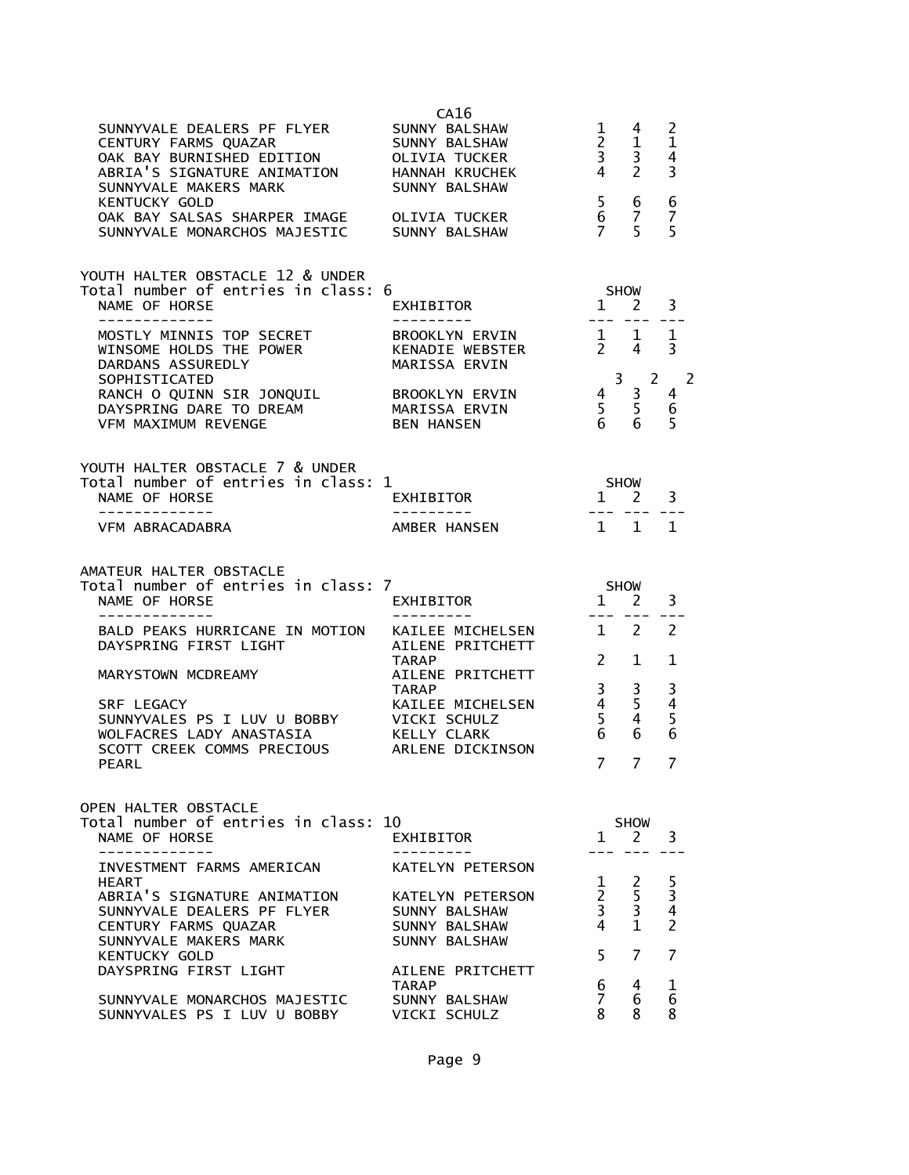| CA16<br>SUNNYVALE DEALERS PF FLYER<br>CENTURY FARMS QUAZAR<br>OAK BAY BURNISHED EDITION<br>ABRIA'S SIGNATURE ANIMATION HANNAH KRUCHEK<br>SUNNYVALE MAKERS MARK<br>SUNNY BALSHAW<br>SUNNY BALSHAW<br>KENTUCKY GOLD<br>OAK BAY SALSAS SHARPER IMAGE OLIVIA TUCKER<br>SUNNYVALE MONARCHOS MAJESTIC SUNNY BALSHAW | CA16                                                                | $\begin{array}{cccc} 1 & 4 & 2 \\ 2 & 1 & 1 \\ 3 & 3 & 4 \\ 4 & 2 & 3 \end{array}$<br>$5\quad 6\quad 6$<br>$\begin{matrix} 6 & 7 \\ 7 & 5 \end{matrix}$ | $\overline{5}$                                  | $\overline{7}$<br>5                  |
|---------------------------------------------------------------------------------------------------------------------------------------------------------------------------------------------------------------------------------------------------------------------------------------------------------------|---------------------------------------------------------------------|---------------------------------------------------------------------------------------------------------------------------------------------------------|-------------------------------------------------|--------------------------------------|
| YOUTH HALTER OBSTACLE 12 & UNDER<br>Total number of entries in class: 6<br>NAME OF HORSE                                                                                                                                                                                                                      | EXHIBITOR<br>---------                                              | $1$ SHOW<br>---- --- ---                                                                                                                                |                                                 | 3                                    |
| SOPHISTICATED<br>RANCH O QUINN SIR JONQUIL BROOKLYN ERVIN<br>DAYSPRING DARE TO DREAM MARISSA ERVIN<br>VFM MAXIMUM REVENGE BEN HANSEN                                                                                                                                                                          |                                                                     | $\begin{array}{cccc} & 3 & 2 & 2 \\ 4 & 3 & 4 \\ 5 & 5 & 6 \\ 6 & 6 & 5 \end{array}$                                                                    |                                                 |                                      |
| YOUTH HALTER OBSTACLE 7 & UNDER<br>Total number of entries in class: 1<br>NAME OF HORSE<br>--------------                                                                                                                                                                                                     | 1<br>EXHIBITOR<br>---------                                         | SHOW<br>1 2 3<br>_________________                                                                                                                      |                                                 |                                      |
| VFM ABRACADABRA                                                                                                                                                                                                                                                                                               | AMBER HANSEN                                                        | $1 \quad 1 \quad 1$                                                                                                                                     |                                                 |                                      |
| AMATEUR HALTER OBSTACLE<br>Total number of entries in class: 7<br>NAME OF HORSE                                                                                                                                                                                                                               | EXHIBITOR $\begin{array}{ccc}\n 1 & 2 \\  1 & 2\n\end{array}$       |                                                                                                                                                         |                                                 | 3                                    |
| --------------<br>BALD PEAKS HURRICANE IN MOTION KAILEE MICHELSEN 1 2 2<br>DAYSPRING FIRST LIGHT TARAP 2 1 1<br>MARYSTOWN MCDREAMY AILENE PRITCHETT 2 1                                                                                                                                                       |                                                                     |                                                                                                                                                         |                                                 |                                      |
| SRF LEGACY<br><b>PEARL Example 20</b>                                                                                                                                                                                                                                                                         | <b>TARAP</b><br>KAILEE MICHELSEN                                    | $\begin{array}{ccc} 3 & 3 & 3 \\ 4 & 5 & 4 \\ 5 & 4 & 5 \\ 6 & 6 & 6 \end{array}$                                                                       | 7 7 7                                           |                                      |
| OPEN HALTER OBSTACLE<br>Total number of entries in class: 10<br>NAME OF HORSE                                                                                                                                                                                                                                 | EXHIBITOR                                                           |                                                                                                                                                         | <b>SHOW</b><br>$1 \quad 2$                      | 3                                    |
| INVESTMENT FARMS AMERICAN<br>HEART<br>ABRIA'S SIGNATURE ANIMATION KATELYN PETERSON<br>SUNNYVALE DEALERS PF FLYER<br>CENTURY FARMS QUAZAR<br>SUNNYVALE MAKERS MARK                                                                                                                                             | KATELYN PETERSON<br>SUNNY BALSHAW<br>SUNNY BALSHAW<br>SUNNY BALSHAW | $\mathbf{1}$<br>$2^{\sim}$<br>$\overline{3}$<br>$\overline{4}$                                                                                          | $\frac{2}{5}$<br>3 <sup>7</sup><br>$\mathbf{1}$ | $\frac{5}{3}$<br>$\overline{4}$<br>2 |
| KENTUCKY GOLD<br>DAYSPRING FIRST LIGHT<br>SUNNYVALE MONARCHOS MAJESTIC<br>SUNNYVALES PS I LUV U BOBBY                                                                                                                                                                                                         | AILENE PRITCHETT<br><b>TARAP</b><br>SUNNY BALSHAW<br>VICKI SCHULZ   | 5<br>6<br>$7^{\circ}$<br>8.                                                                                                                             | 7<br>4<br>6<br>8                                | 7<br>1<br>6<br>8                     |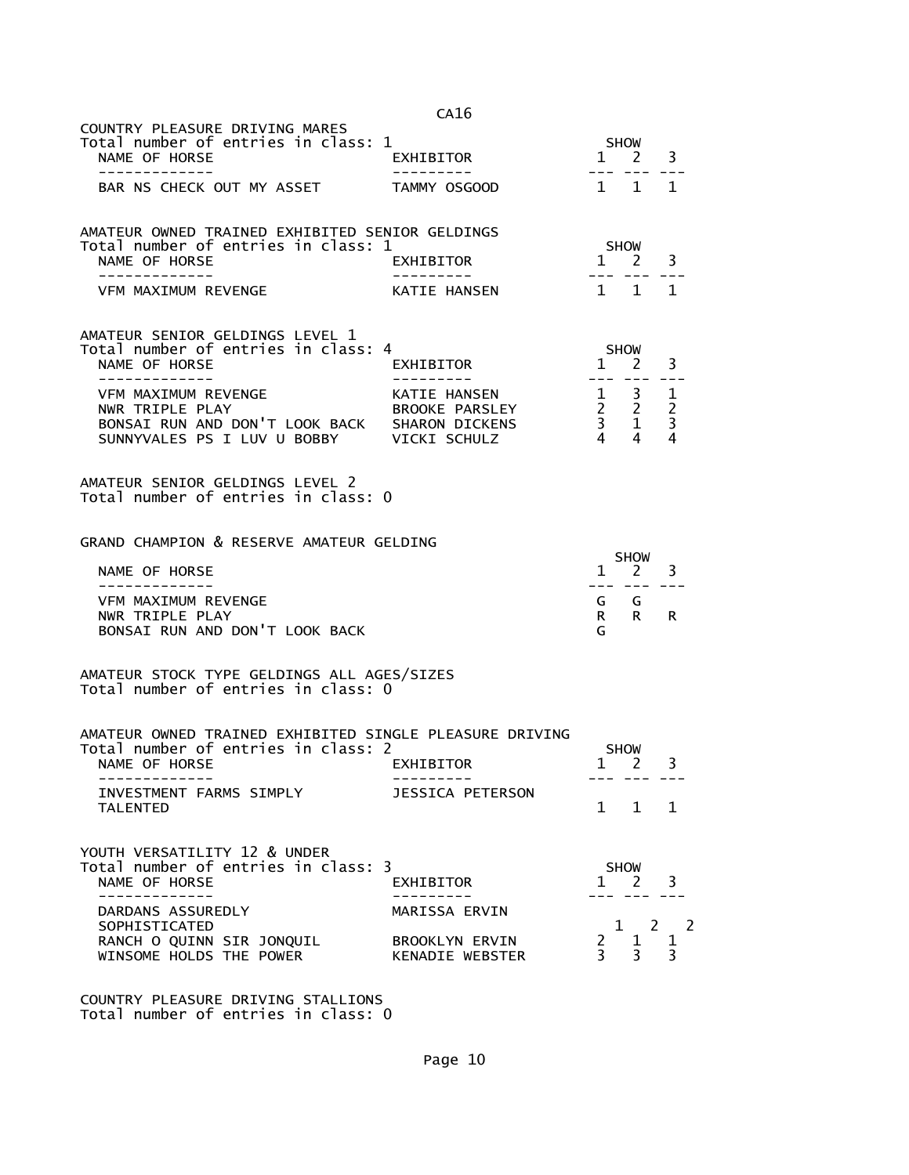|                                                                                         | CA <sub>16</sub> |              |                                                                                    |    |
|-----------------------------------------------------------------------------------------|------------------|--------------|------------------------------------------------------------------------------------|----|
| COUNTRY PLEASURE DRIVING MARES                                                          |                  |              |                                                                                    |    |
| Total number of entries in class: 1<br>NAME OF HORSE                                    | EXHIBITOR        |              |                                                                                    | 3  |
| -----------                                                                             |                  |              |                                                                                    |    |
| BAR NS CHECK OUT MY ASSET                                                               | TAMMY OSGOOD     |              | $1 \quad 1 \quad 1$                                                                |    |
| AMATEUR OWNED TRAINED EXHIBITED SENIOR GELDINGS                                         |                  |              |                                                                                    |    |
| Total number of entries in class: 1                                                     |                  |              | SHOW<br>$1 \t2 \t3$                                                                |    |
| NAME OF HORSE                                                                           | EXHIBITOR        | $\sim$ $-$ : |                                                                                    |    |
| VFM MAXIMUM REVENGE                                                                     | KATIE HANSEN     |              | 1 1 1                                                                              |    |
| AMATEUR SENIOR GELDINGS LEVEL 1<br>Total number of entries in class: 4<br>NAME OF HORSE | EXHIBITOR        | SHOW         | $1 \quad 2$                                                                        | 3  |
| VFM MAXIMUM REVENGE                                                                     | KATIE HANSEN     |              |                                                                                    |    |
| NWR TRIPLE PLAY                                                                         | BROOKE PARSLEY   |              |                                                                                    |    |
| BONSAI RUN AND DON'T LOOK BACK<br>SUNNYVALES PS I LUV U BOBBY VICKI SCHULZ              |                  |              | $\begin{array}{cccc} 1 & 3 & 1 \\ 2 & 2 & 2 \\ 3 & 1 & 3 \\ 4 & 4 & 4 \end{array}$ |    |
|                                                                                         |                  |              |                                                                                    |    |
| AMATEUR SENIOR GELDINGS LEVEL 2<br>Total number of entries in class: 0                  |                  |              |                                                                                    |    |
| GRAND CHAMPION & RESERVE AMATEUR GELDING                                                |                  |              |                                                                                    |    |
| NAME OF HORSE                                                                           |                  |              | SHOW<br>$1 \quad 2 \quad 3$                                                        |    |
| -------------<br><b>VFM MAXIMUM REVENGE</b>                                             |                  |              | --- --- ---<br>GG.                                                                 |    |
| NWR TRIPLE PLAY                                                                         |                  |              | R R                                                                                | R. |
| BONSAI RUN AND DON'T LOOK BACK                                                          |                  | G.           |                                                                                    |    |
| AMATEUR STOCK TYPE GELDINGS ALL AGES/SIZES<br>Total number of entries in class: 0       |                  |              |                                                                                    |    |
| AMATEUR OWNED TRAINED EXHIBITED SINGLE PLEASURE DRIVING                                 |                  |              |                                                                                    |    |
| Total number of entries in class: 2                                                     |                  |              | <b>SHOW</b>                                                                        |    |
| NAME OF HORSE<br>------------                                                           | <b>EXHIBITOR</b> | $\mathbf{1}$ | 2<br>-- --- ---                                                                    | 3  |
| INVESTMENT FARMS SIMPLY                                                                 | JESSICA PETERSON |              |                                                                                    |    |
| <b>TALENTED</b>                                                                         |                  |              | $1 \quad 1 \quad 1$                                                                |    |
|                                                                                         |                  |              |                                                                                    |    |
| YOUTH VERSATILITY 12 & UNDER                                                            |                  |              |                                                                                    |    |
| Total number of entries in class: 3<br>NAME OF HORSE                                    | EXHIBITOR        |              | SHOW<br>$1 \quad 2 \quad 3$                                                        |    |
| -------------                                                                           | ----------       |              | --- --- ---                                                                        |    |
| DARDANS ASSUREDLY                                                                       | MARISSA ERVIN    |              |                                                                                    |    |
| SOPHISTICATED<br>RANCH O QUINN SIR JONQUIL                                              | BROOKLYN ERVIN   |              | $1 \quad 2 \quad 2$                                                                |    |
| WINSOME HOLDS THE POWER                                                                 | KENADIE WEBSTER  |              | $\begin{array}{ccc} 2 & 1 & 1 \\ 3 & 3 & 3 \end{array}$                            |    |

COUNTRY PLEASURE DRIVING STALLIONS Total number of entries in class: 0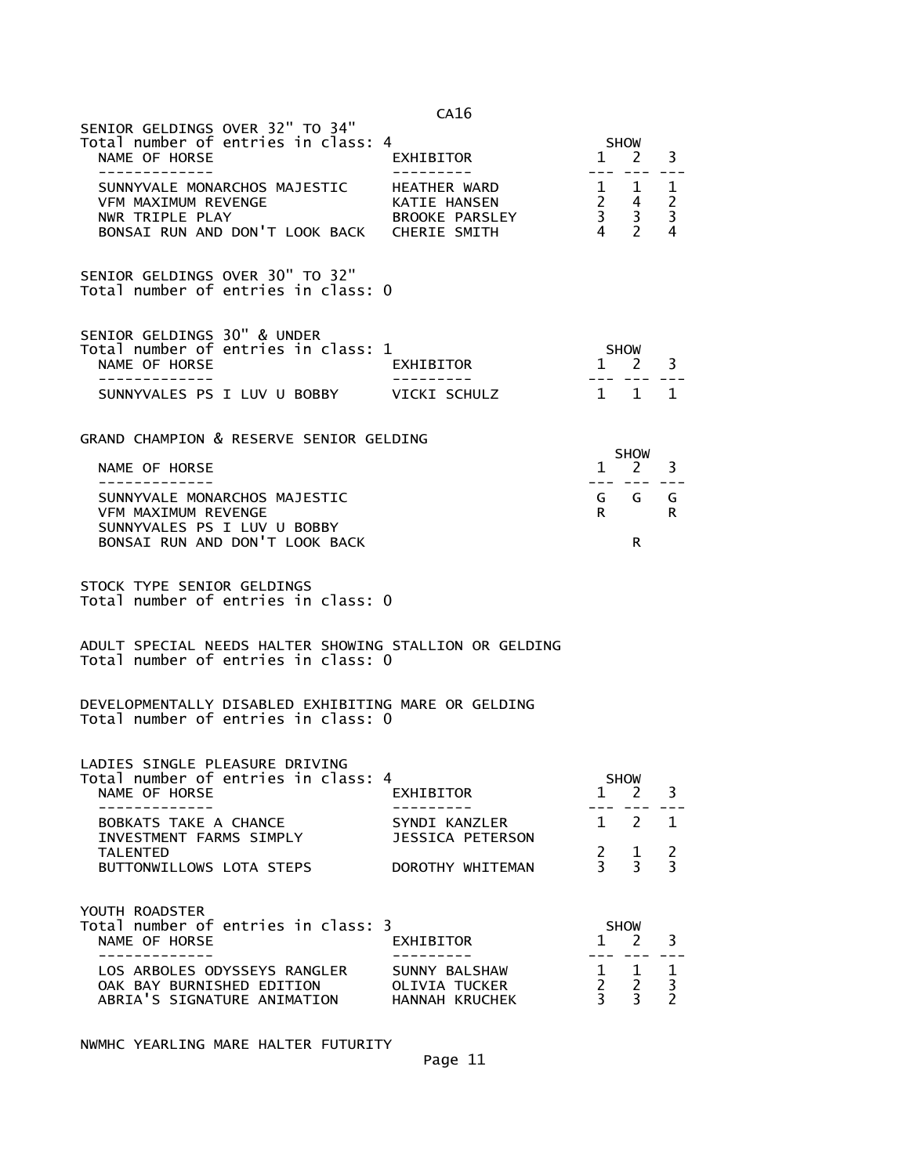|                                                                                                                                                  | <b>CATO</b>                                    |                |                                                                             |                                                 |
|--------------------------------------------------------------------------------------------------------------------------------------------------|------------------------------------------------|----------------|-----------------------------------------------------------------------------|-------------------------------------------------|
| SENIOR GELDINGS OVER 32" TO 34"<br>Total number of entries in class: 4<br>NAME OF HORSE<br>-----------                                           | EXHIBITOR                                      |                | <b>SHOW</b><br>$1 \quad 2$                                                  | 3                                               |
| SUNNYVALE MONARCHOS MAJESTIC<br>VFM MAXIMUM REVENGE<br>NWR TRIPLE PLAY<br>BONSAI RUN AND DON'T LOOK BACK CHERIE SMITH                            | HEATHER WARD<br>KATIE HANSEN<br>BROOKE PARSLEY |                | $\frac{1}{2}$ 1<br>$\begin{array}{ccc} 2 & 4 \\ 3 & 3 \\ 4 & 2 \end{array}$ | 1<br>$\begin{array}{c} 2 \\ 3 \\ 4 \end{array}$ |
| SENIOR GELDINGS OVER 30" TO 32"<br>Total number of entries in class: 0                                                                           |                                                |                |                                                                             |                                                 |
| SENIOR GELDINGS 30" & UNDER<br>Total number of entries in class: 1<br>NAME OF HORSE<br>-------------<br>SUNNYVALES PS I LUV U BOBBY VICKI SCHULZ | EXHIBITOR                                      | $\mathbf{1}$   | SHOW<br><sup>2</sup><br>1 1 1                                               | 3                                               |
| GRAND CHAMPION & RESERVE SENIOR GELDING                                                                                                          |                                                |                |                                                                             |                                                 |
| NAME OF HORSE                                                                                                                                    |                                                | $\mathbf{1}$   | SHOW<br>2                                                                   | 3                                               |
| SUNNYVALE MONARCHOS MAJESTIC<br><b>VFM MAXIMUM REVENGE</b><br>SUNNYVALES PS I LUV U BOBBY<br>BONSAI RUN AND DON'T LOOK BACK                      |                                                | R.             | $G$ $G$<br>R.                                                               | G<br>R.                                         |
| STOCK TYPE SENIOR GELDINGS<br>Total number of entries in class: 0                                                                                |                                                |                |                                                                             |                                                 |
| ADULT SPECIAL NEEDS HALTER SHOWING STALLION OR GELDING<br>Total number of entries in class: 0                                                    |                                                |                |                                                                             |                                                 |
| DEVELOPMENTALLY DISABLED EXHIBITING MARE OR GELDING<br>Total number of entries in class: 0                                                       |                                                |                |                                                                             |                                                 |
| LADIES SINGLE PLEASURE DRIVING<br>Total number of entries in class: 4<br>NAME OF HORSE                                                           | EXHIBITOR                                      | $\mathbf{1}$   | SHOW<br>2                                                                   | 3                                               |
| BOBKATS TAKE A CHANCE                                                                                                                            | SYNDI KANZLER                                  | $1 \quad 2$    |                                                                             | 1                                               |
| INVESTMENT FARMS SIMPLY<br><b>TALENTED</b>                                                                                                       | <b>JESSICA PETERSON</b>                        | $\frac{2}{x}$  | 1                                                                           | $\frac{2}{3}$                                   |
| BUTTONWILLOWS LOTA STEPS                                                                                                                         | DOROTHY WHITEMAN                               | $\overline{3}$ | $\overline{3}$                                                              |                                                 |
| YOUTH ROADSTER<br>Total number of entries in class: 3<br>NAME OF HORSE<br>-------------                                                          | EXHIBITOR                                      |                | <b>SHOW</b><br>1 2                                                          | 3                                               |
| LOS ARBOLES ODYSSEYS RANGLER                                                                                                                     | SUNNY BALSHAW                                  | $\mathbf{1}$   | 1                                                                           | 1                                               |
| OAK BAY BURNISHED EDITION<br>ABRIA'S SIGNATURE ANIMATION                                                                                         | OLIVIA TUCKER<br>HANNAH KRUCHEK                | $\frac{2}{3}$  | $\overline{2}$<br>$\overline{3}$                                            | 3<br>$\overline{2}$                             |

NWMHC YEARLING MARE HALTER FUTURITY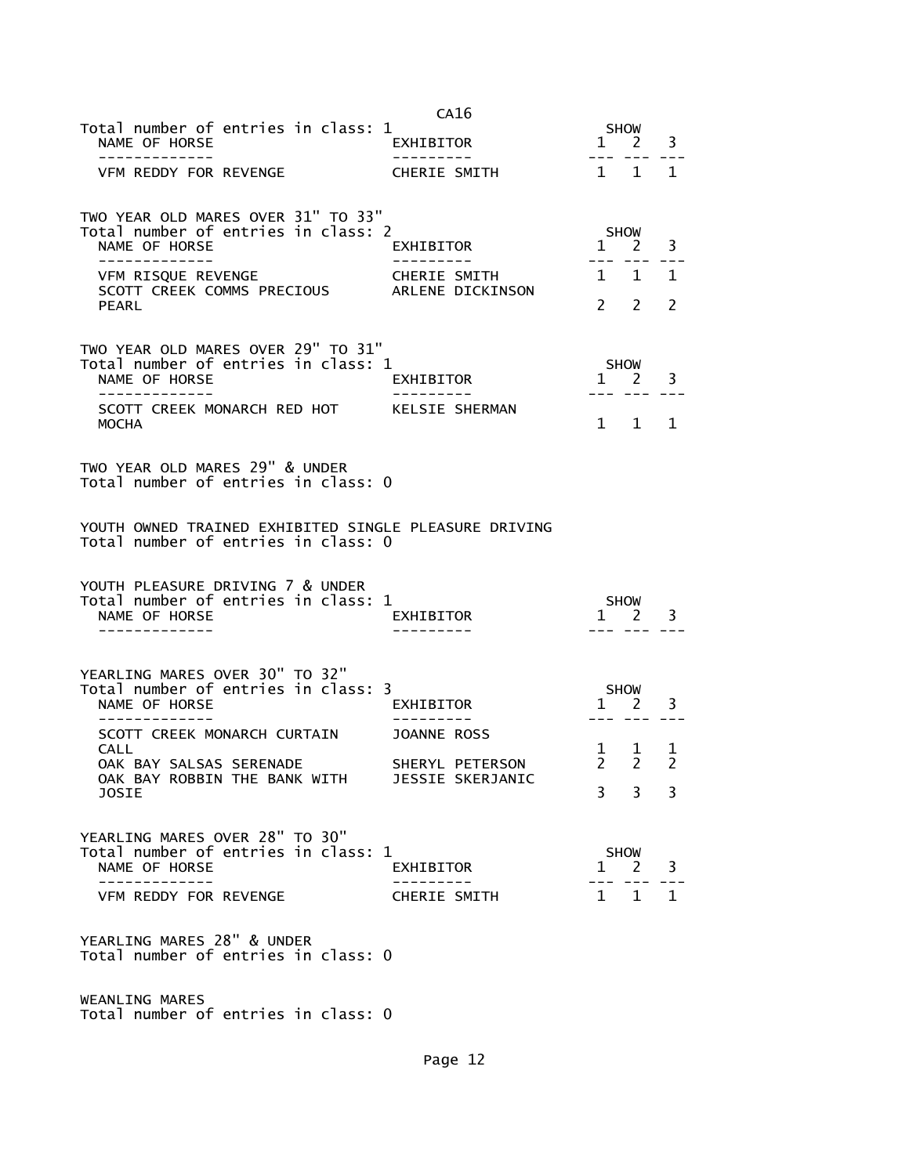|                                                                          | CA <sub>16</sub> |                |                        |                          |
|--------------------------------------------------------------------------|------------------|----------------|------------------------|--------------------------|
| Total number of entries in class: 1<br>NAME OF HORSE                     | EXHIBITOR        |                | SHOW<br>$1 \quad 2$    | 3                        |
| -----------                                                              |                  |                | --- --- -              |                          |
| VFM REDDY FOR REVENGE                                                    | CHERIE SMITH     | 1 1            |                        | 1                        |
| TWO YEAR OLD MARES OVER 31" TO 33"                                       |                  |                |                        |                          |
| Total number of entries in class: 2                                      |                  |                | SHOW                   |                          |
| NAME OF HORSE                                                            | EXHIBITOR        |                | $1 \quad 2$            | 3                        |
| VFM RISQUE REVENGE                                                       | CHERIE SMITH     |                | $1 \quad 1$            | $\mathbf{1}$             |
| SCOTT CREEK COMMS PRECIOUS<br><b>PEARL</b>                               | ARLENE DICKINSON | 2 <sub>2</sub> |                        | $\overline{\phantom{a}}$ |
|                                                                          |                  |                |                        |                          |
| TWO YEAR OLD MARES OVER 29" TO 31"                                       |                  |                |                        |                          |
| Total number of entries in class: 1<br>NAME OF HORSE                     | EXHIBITOR        |                | SHOW<br>$1 \quad 2$    | 3                        |
|                                                                          |                  |                |                        |                          |
| SCOTT CREEK MONARCH RED HOT KELSIE SHERMAN<br><b>MOCHA</b>               |                  |                | $1 \quad 1$            | $\mathbf{1}$             |
|                                                                          |                  |                |                        |                          |
| TWO YEAR OLD MARES 29" & UNDER                                           |                  |                |                        |                          |
| Total number of entries in class: 0                                      |                  |                |                        |                          |
| YOUTH OWNED TRAINED EXHIBITED SINGLE PLEASURE DRIVING                    |                  |                |                        |                          |
| Total number of entries in class: 0                                      |                  |                |                        |                          |
|                                                                          |                  |                |                        |                          |
| YOUTH PLEASURE DRIVING 7 & UNDER                                         |                  |                |                        |                          |
|                                                                          |                  |                |                        |                          |
| Total number of entries in class: 1<br>NAME OF HORSE                     | EXHIBITOR        | $\mathbf{1}$   | SHOW<br>$\overline{2}$ | 3                        |
| -------------                                                            |                  |                |                        |                          |
|                                                                          |                  |                |                        |                          |
| YEARLING MARES OVER 30" TO 32"<br>Total number of entries in class: 3    |                  |                | SHOW                   |                          |
| NAME OF HORSE                                                            | EXHIBITOR        | $\mathbf{1}$   | <sup>2</sup>           | 3                        |
| . _ _ _ _ _ _ _ _ _ _<br>SCOTT CREEK MONARCH CURTAIN                     | JOANNE ROSS      |                |                        |                          |
| <b>CALL</b>                                                              |                  | 1              | 1<br>$2 \sqrt{2}$      | 1<br>$\overline{z}$      |
| OAK BAY SALSAS SERENADE<br>OAK BAY ROBBIN THE BANK WITH JESSIE SKERJANIC | SHERYL PETERSON  |                |                        |                          |
| <b>JOSIE</b>                                                             |                  | $\overline{3}$ | $\overline{3}$         | $\overline{3}$           |
|                                                                          |                  |                |                        |                          |
| YEARLING MARES OVER 28" TO 30"<br>Total number of entries in class: 1    |                  |                | SHOW                   |                          |
| NAME OF HORSE<br>. _ _ _ _ _ _ _ _ _ _                                   | EXHIBITOR        |                | $1 \quad 2$            | 3                        |
| VFM REDDY FOR REVENGE                                                    | CHERIE SMITH     |                | 1 1 1                  |                          |
|                                                                          |                  |                |                        |                          |
| YEARLING MARES 28" & UNDER                                               |                  |                |                        |                          |
| Total number of entries in class: 0                                      |                  |                |                        |                          |
| <b>WEANLING MARES</b><br>Total number of entries in class: 0             |                  |                |                        |                          |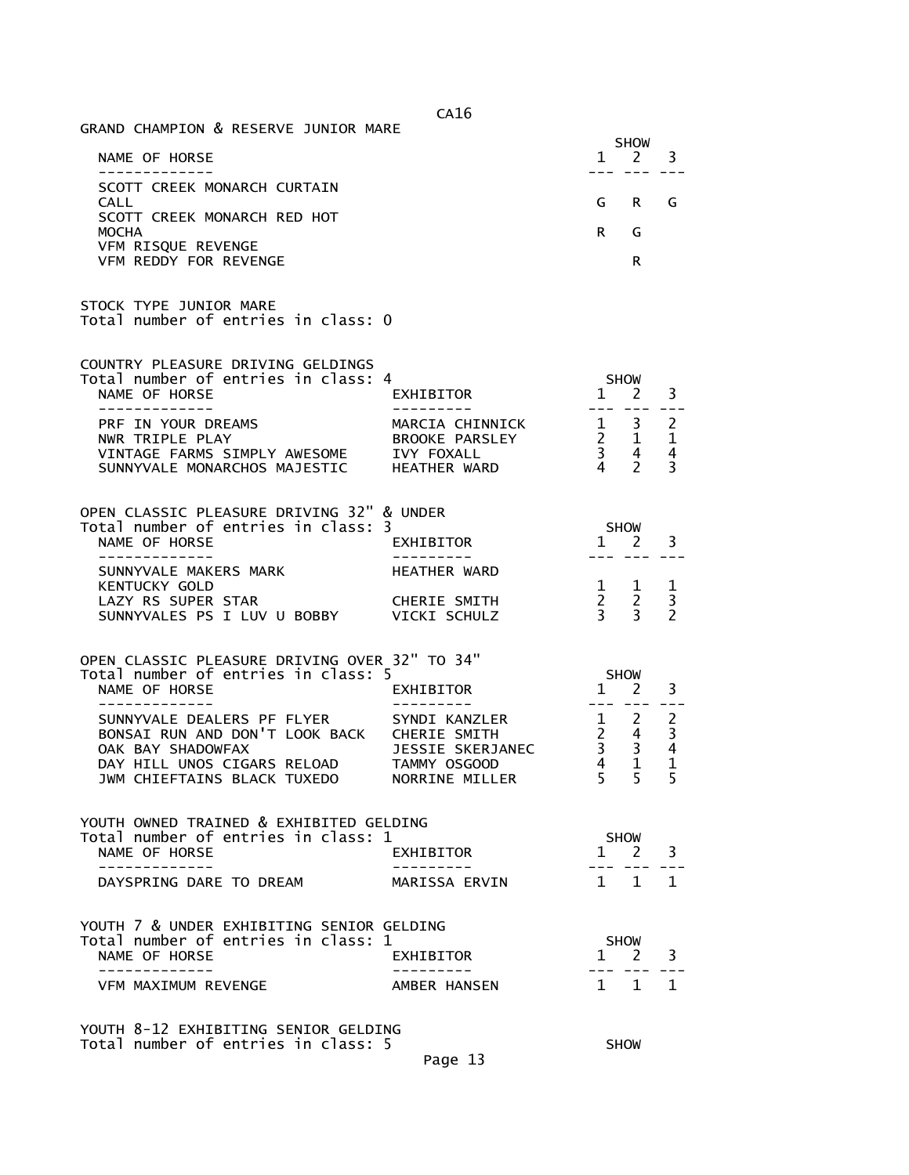|                                                                                                       | CA16                                |                                                          |                             |                                            |
|-------------------------------------------------------------------------------------------------------|-------------------------------------|----------------------------------------------------------|-----------------------------|--------------------------------------------|
| GRAND CHAMPION & RESERVE JUNIOR MARE                                                                  |                                     |                                                          | SHOW                        |                                            |
| NAME OF HORSE<br>-------------                                                                        |                                     | $\mathbf{1}$                                             | <sup>2</sup><br>$- - -$     | 3                                          |
| SCOTT CREEK MONARCH CURTAIN<br>CALL                                                                   |                                     | G                                                        | R.                          | G                                          |
| SCOTT CREEK MONARCH RED HOT<br><b>MOCHA</b>                                                           |                                     | R.                                                       | G                           |                                            |
| VFM RISQUE REVENGE<br>VFM REDDY FOR REVENGE                                                           |                                     |                                                          | R.                          |                                            |
| STOCK TYPE JUNIOR MARE<br>Total number of entries in class: 0                                         |                                     |                                                          |                             |                                            |
| COUNTRY PLEASURE DRIVING GELDINGS<br>Total number of entries in class: 4<br>NAME OF HORSE             | EXHIBITOR                           | $\mathbf{1}$                                             | <b>SHOW</b><br><sup>2</sup> | 3                                          |
| ------------<br>PRF IN YOUR DREAMS                                                                    | MARCIA CHINNICK                     |                                                          | --- ---                     | $- - -$<br>$\overline{2}$                  |
| NWR TRIPLE PLAY<br>VINTAGE FARMS SIMPLY AWESOME                                                       | BROOKE PARSLEY<br><b>IVY FOXALL</b> | $\begin{array}{ccc} 1 & 3 \\ 2 & 1 \\ 3 & 4 \end{array}$ |                             | 1<br>4                                     |
| SUNNYVALE MONARCHOS MAJESTIC HEATHER WARD                                                             |                                     | $\overline{4}$                                           | 2                           | 3                                          |
| OPEN CLASSIC PLEASURE DRIVING 32" & UNDER                                                             |                                     |                                                          |                             |                                            |
| Total number of entries in class: 3<br>NAME OF HORSE                                                  | EXHIBITOR                           | SHOW<br>$1 \quad 2$                                      |                             | 3                                          |
| . _ _ _ _ _ _ _ _ _ _ _ _<br>SUNNYVALE MAKERS MARK                                                    | <b>HEATHER WARD</b>                 |                                                          |                             |                                            |
| <b>KENTUCKY GOLD</b><br>LAZY RS SUPER STAR                                                            | CHERIE SMITH                        | $1 \quad 1$                                              |                             | 1<br>3                                     |
| SUNNYVALES PS I LUV U BOBBY VICKI SCHULZ                                                              |                                     | $\begin{array}{ccc} 2 & 2 \\ 3 & 3 \end{array}$          |                             | $\mathcal{P}$                              |
| OPEN CLASSIC PLEASURE DRIVING OVER 32" TO 34"<br>Total number of entries in class: 5<br>NAME OF HORSE | EXHIBITOR                           | 1                                                        | <b>SHOW</b><br>2            | 3                                          |
| SUNNYVALE DEALERS PF FLYER                                                                            | SYNDI KANZLER                       | $---$<br>$1 \quad 2$                                     |                             |                                            |
| BONSAI RUN AND DON'T LOOK BACK<br>OAK BAY SHADOWFAX                                                   | CHERIE SMITH<br>JESSIE SKERJANEC    | $2^{\circ}$<br>3 <sup>7</sup>                            | $\overline{4}$<br>3         | $\begin{array}{c} 2 \\ 3 \\ 4 \end{array}$ |
| DAY HILL UNOS CIGARS RELOAD                                                                           | TAMMY OSGOOD                        | 4<br>5 <sup>1</sup>                                      | 1                           | $\mathbf{1}$                               |
| JWM CHIEFTAINS BLACK TUXEDO       NORRINE MILLER                                                      |                                     |                                                          | 5.                          | 5                                          |
| YOUTH OWNED TRAINED & EXHIBITED GELDING                                                               |                                     |                                                          |                             |                                            |
| Total number of entries in class: 1<br>NAME OF HORSE                                                  | EXHIBITOR                           |                                                          | SHOW<br>$1 \quad 2$         | 3                                          |
| ------------<br>DAYSPRING DARE TO DREAM                                                               | MARISSA ERVIN                       | 1 1 1                                                    | ----                        |                                            |
|                                                                                                       |                                     |                                                          |                             |                                            |
| YOUTH 7 & UNDER EXHIBITING SENIOR GELDING<br>Total number of entries in class: 1                      |                                     |                                                          | <b>SHOW</b>                 |                                            |
| NAME OF HORSE<br>-------------                                                                        | EXHIBITOR                           |                                                          | $1 \quad 2 \quad 3$         |                                            |
| VFM MAXIMUM REVENGE                                                                                   | AMBER HANSEN                        |                                                          | 1 1                         | 1                                          |
| YOUTH 8-12 EXHIBITING SENIOR GELDING                                                                  |                                     |                                                          |                             |                                            |

Page 13

Total number of entries in class: 5  $\,$  SHOW  $\,$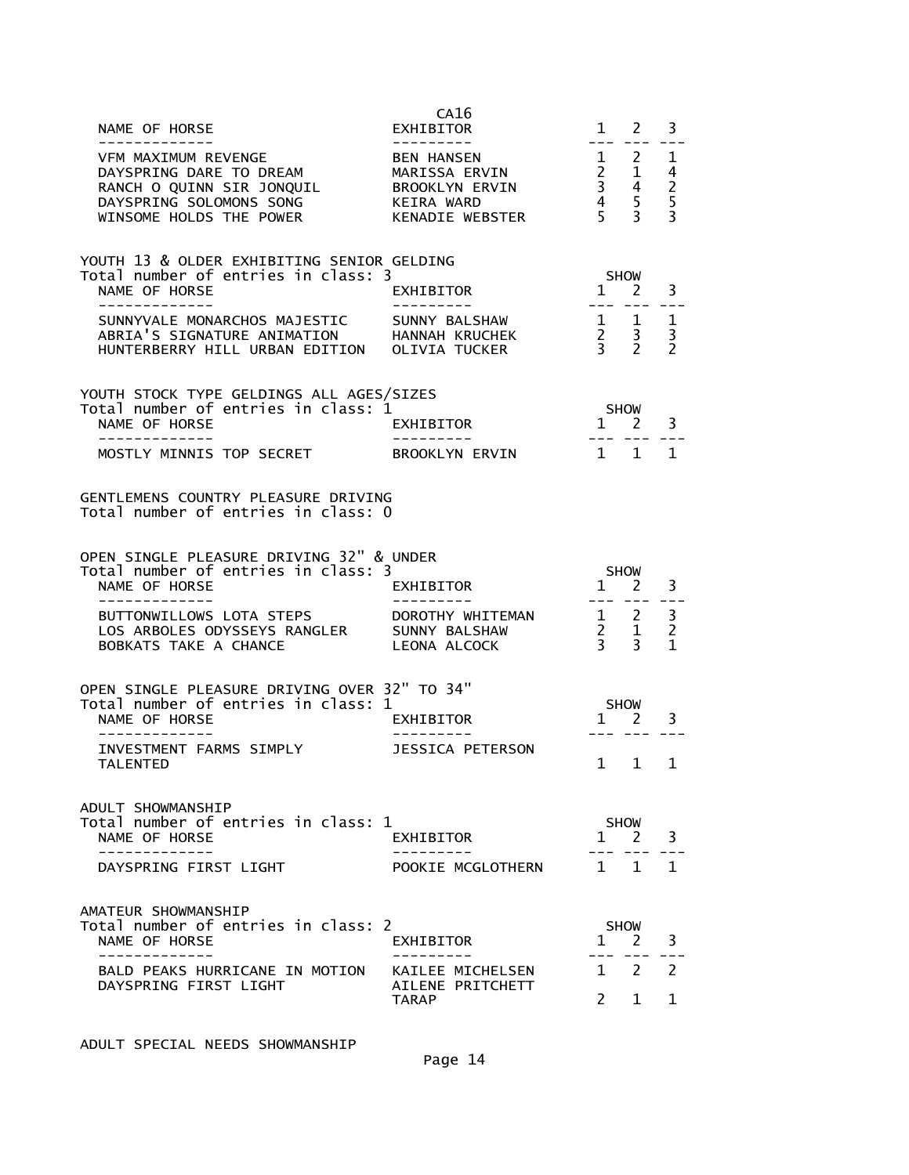| NAME OF HORSE                                                                                                                                                                  | CA16<br>EXHIBITOR                                                                     | $\mathbf{1}$                                                                          | 2                                                        | 3                                         |
|--------------------------------------------------------------------------------------------------------------------------------------------------------------------------------|---------------------------------------------------------------------------------------|---------------------------------------------------------------------------------------|----------------------------------------------------------|-------------------------------------------|
| -------------<br>VFM MAXIMUM REVENGE<br>DAYSPRING DARE TO DREAM<br>RANCH O QUINN SIR JONQUIL<br>DAYSPRING SOLOMONS SONG<br>DAYSPRING SOLOMONS SONG<br>WINSOME HOLDS THE POWER  | <b>BEN HANSEN</b><br>MARISSA ERVIN<br>BROOKLYN ERVIN<br>KEIRA WARD<br>KFNADTF WFBSTFR | $- - -$<br>$\begin{array}{ccc} 1 & 2 \\ 2 & 1 \\ 3 & 4 \\ 4 & 5 \\ 5 & 3 \end{array}$ | $1 \quad 2$                                              | 1<br>4<br>$\frac{2}{5}$<br>$\overline{3}$ |
| YOUTH 13 & OLDER EXHIBITING SENIOR GELDING<br>Total number of entries in class: 3                                                                                              |                                                                                       |                                                                                       | SHOW                                                     |                                           |
| NAME OF HORSE<br>. <u>.</u>                                                                                                                                                    | EXHIBITOR                                                                             |                                                                                       | $1 \quad 2$<br>--- ---                                   | 3                                         |
| SUNNYVALE MONARCHOS MAJESTIC<br>ABRIA'S SIGNATURE ANIMATION<br>HUNTERBERRY HILL URBAN EDITION  OLIVIA TUCKER                                                                   | SUNNY BALSHAW<br>HANNAH KRUCHEK                                                       |                                                                                       | $\begin{array}{ccc} 1 & 1 \\ 2 & 3 \\ 3 & 2 \end{array}$ | 1<br>3<br>$\overline{2}$                  |
| YOUTH STOCK TYPE GELDINGS ALL AGES/SIZES                                                                                                                                       |                                                                                       |                                                                                       |                                                          |                                           |
| Total number of entries in class: 1<br>NAME OF HORSE                                                                                                                           | EXHIBITOR                                                                             |                                                                                       | SHOW<br>$1 \quad 2$                                      | 3                                         |
|                                                                                                                                                                                |                                                                                       |                                                                                       |                                                          |                                           |
| MOSTLY MINNIS TOP SECRET                                                                                                                                                       | BROOKLYN ERVIN                                                                        | 1 1                                                                                   |                                                          | 1                                         |
| GENTLEMENS COUNTRY PLEASURE DRIVING<br>Total number of entries in class: 0<br>OPEN SINGLE PLEASURE DRIVING 32" & UNDER<br>Total number of entries in class: 3<br>NAME OF HORSE | EXHIBITOR                                                                             |                                                                                       | <b>SHOW</b><br>$1 \quad 2$                               | 3                                         |
| -------------<br>BUTTONWILLOWS LOTA STEPS                                                                                                                                      | ----------<br>DOROTHY WHITEMAN                                                        | $---$                                                                                 |                                                          | 3                                         |
| LOS ARBOLES ODYSSEYS RANGLER<br>BOBKATS TAKE A CHANCE                                                                                                                          | SUNNY BALSHAW<br>LEONA ALCOCK                                                         | $\begin{array}{ccc} 1 & 2 \\ 2 & 1 \\ 3 & 3 \end{array}$                              |                                                          | $\overline{2}$<br>$\mathbf{1}$            |
|                                                                                                                                                                                |                                                                                       |                                                                                       |                                                          |                                           |
| OPEN SINGLE PLEASURE DRIVING OVER 32" TO 34"                                                                                                                                   |                                                                                       |                                                                                       |                                                          |                                           |
| Total number of entries in class: 1<br>NAME OF HORSE                                                                                                                           | EXHIBITOR                                                                             |                                                                                       | <b>SHOW</b><br>$1 \quad 2$                               | 3                                         |
| - - - - - - - - - -                                                                                                                                                            |                                                                                       |                                                                                       | --- ---                                                  |                                           |
| INVESTMENT FARMS SIMPLY<br><b>TALENTED</b>                                                                                                                                     | JESSICA PETERSON                                                                      |                                                                                       | $1 \quad 1$                                              | 1                                         |
|                                                                                                                                                                                |                                                                                       |                                                                                       |                                                          |                                           |
| ADULT SHOWMANSHIP<br>Total number of entries in class: 1                                                                                                                       |                                                                                       |                                                                                       | <b>SHOW</b>                                              |                                           |
| NAME OF HORSE<br>- - - - - - - - - - -                                                                                                                                         | EXHIBITOR                                                                             |                                                                                       | 1 2                                                      | 3                                         |
| DAYSPRING FIRST LIGHT                                                                                                                                                          | POOKIE MCGLOTHERN                                                                     | 1                                                                                     | 1                                                        | 1                                         |
| AMATEUR SHOWMANSHIP                                                                                                                                                            |                                                                                       |                                                                                       |                                                          |                                           |
| Total number of entries in class: 2                                                                                                                                            |                                                                                       |                                                                                       | SHOW                                                     |                                           |
| NAME OF HORSE<br>- - - - - - - - - -                                                                                                                                           | EXHIBITOR                                                                             | $\mathbf{1}$                                                                          | 2                                                        | 3                                         |
| BALD PEAKS HURRICANE IN MOTION<br>DAYSPRING FIRST LIGHT                                                                                                                        | KAILEE MICHELSEN<br>AILENE PRITCHETT                                                  |                                                                                       | $1 \quad 2$                                              | $\mathcal{P}$                             |
|                                                                                                                                                                                | <b>TARAP</b>                                                                          | $2^{\circ}$                                                                           | $\mathbf{1}$                                             | 1                                         |
|                                                                                                                                                                                |                                                                                       |                                                                                       |                                                          |                                           |

ADULT SPECIAL NEEDS SHOWMANSHIP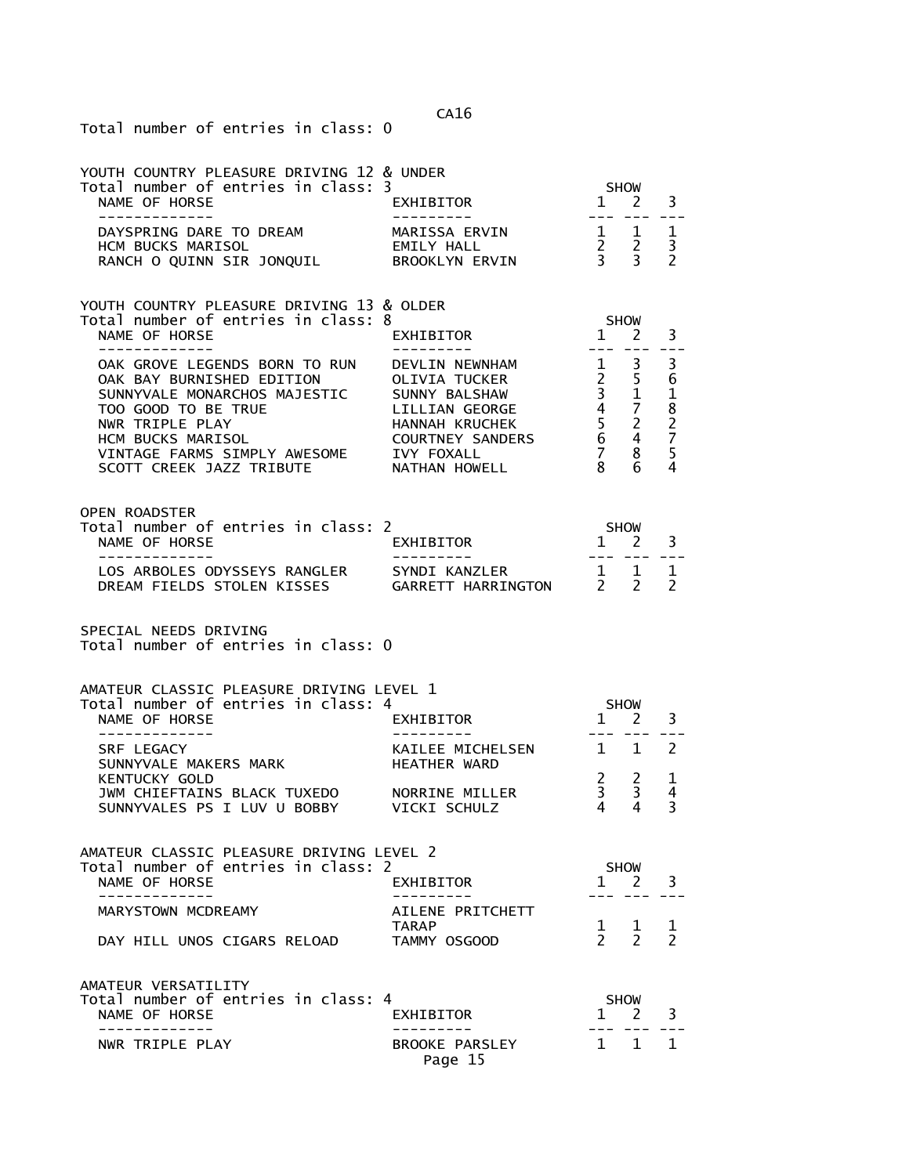Total number of entries in class: 0

| YOUTH COUNTRY PLEASURE DRIVING 12 & UNDER<br>Total number of entries in class: 3 |                                     | <b>SHOW</b> |  |
|----------------------------------------------------------------------------------|-------------------------------------|-------------|--|
| NAME OF HORSE                                                                    | EXHIBITOR                           |             |  |
| DAYSPRING DARE TO DREAM                                                          | MARISSA ERVIN                       | 1 1         |  |
| HCM BUCKS MARISOL<br>RANCH O OUINN SIR JONOUIL                                   | FMTIY HAII<br><b>BROOKLYN FRVTN</b> |             |  |

| YOUTH COUNTRY PLEASURE DRIVING 13 & OLDER |                         |   |             |   |  |
|-------------------------------------------|-------------------------|---|-------------|---|--|
| Total number of entries in class: 8       |                         |   | <b>SHOW</b> |   |  |
| NAME OF HORSE                             | EXHIBITOR               |   |             |   |  |
|                                           |                         |   |             |   |  |
| OAK GROVE LEGENDS BORN TO RUN             | DEVLIN NEWNHAM          |   |             |   |  |
| OAK BAY BURNISHED EDITION                 | OLIVIA TUCKER           |   |             |   |  |
| SUNNYVALE MONARCHOS MAJESTIC              | SUNNY BALSHAW           |   |             |   |  |
| TOO GOOD TO BE TRUE                       | LILLIAN GEORGE          |   |             | 8 |  |
| NWR TRIPLE PLAY                           | HANNAH KRUCHEK          |   |             |   |  |
| HCM BUCKS MARISOL                         | <b>COURTNEY SANDERS</b> | 6 |             |   |  |
| VINTAGE FARMS SIMPLY AWESOME              | IVY FOXALL              |   | 8           |   |  |
| SCOTT CREEK JAZZ TRIBUTE                  | NATHAN HOWELL           |   |             |   |  |
|                                           |                         |   |             |   |  |

## OPEN ROADSTER Total number of entries in class: 2 5HOW SHOW RAME OF HORSE NAME OF HORSE EXHIBITOR 1 2 3 ------------- --------- --- --- --- LOS ARBOLES ODYSSEYS RANGLER SYNDI KANZLER 1 1 1 1 LOS ARBOLES ODYSSEYS RANGLER SYNDI KANZLER  $1$  1 1<br>DREAM FIELDS STOLEN KISSES GARRETT HARRINGTON 2 2 2

SPECIAL NEEDS DRIVING Total number of entries in class: 0

| AMATEUR CLASSIC PLEASURE DRIVING LEVEL 1<br>Total number of entries in class: 4 |                  | <b>SHOW</b> |  |
|---------------------------------------------------------------------------------|------------------|-------------|--|
| NAME OF HORSE                                                                   | EXHIBITOR        |             |  |
|                                                                                 |                  |             |  |
| SRF LEGACY                                                                      | KAILEE MICHELSEN |             |  |
| SUNNYVALE MAKERS MARK                                                           | HFATHER WARD     |             |  |
| KENTUCKY GOLD                                                                   |                  |             |  |
| JWM CHIEFTAINS BLACK TUXEDO                                                     | NORRINE MILLER   |             |  |
| SUNNYVALES PS I LUV U BOBBY                                                     | VICKT SCHULZ     |             |  |

| AMATEUR CLASSIC PLEASURE DRIVING LEVEL 2<br>Total number of entries in class: 2 |                   | <b>SHOW</b> |  |
|---------------------------------------------------------------------------------|-------------------|-------------|--|
| NAME OF HORSE                                                                   | <b>FXHTRTTOR</b>  |             |  |
|                                                                                 |                   |             |  |
| MARYSTOWN MCDRFAMY                                                              | ATI FNF PRITCHFTT |             |  |
|                                                                                 | <b>TARAP</b>      | $1 \quad 1$ |  |
| DAY HILL UNOS CIGARS RELOAD                                                     | TAMMY OSGOOD      |             |  |

| AMATFUR VERSATTI TTY                |                                  |                     |  |
|-------------------------------------|----------------------------------|---------------------|--|
| Total number of entries in class: 4 |                                  | <b>SHOW</b>         |  |
| NAME OF HORSE                       | <b>FXHTRTTOR</b>                 | $1 \quad 2 \quad 3$ |  |
|                                     |                                  |                     |  |
| NWR TRTPLF PLAY                     | <b>BROOKE PARSLEY</b><br>Page 15 | 1 1 1               |  |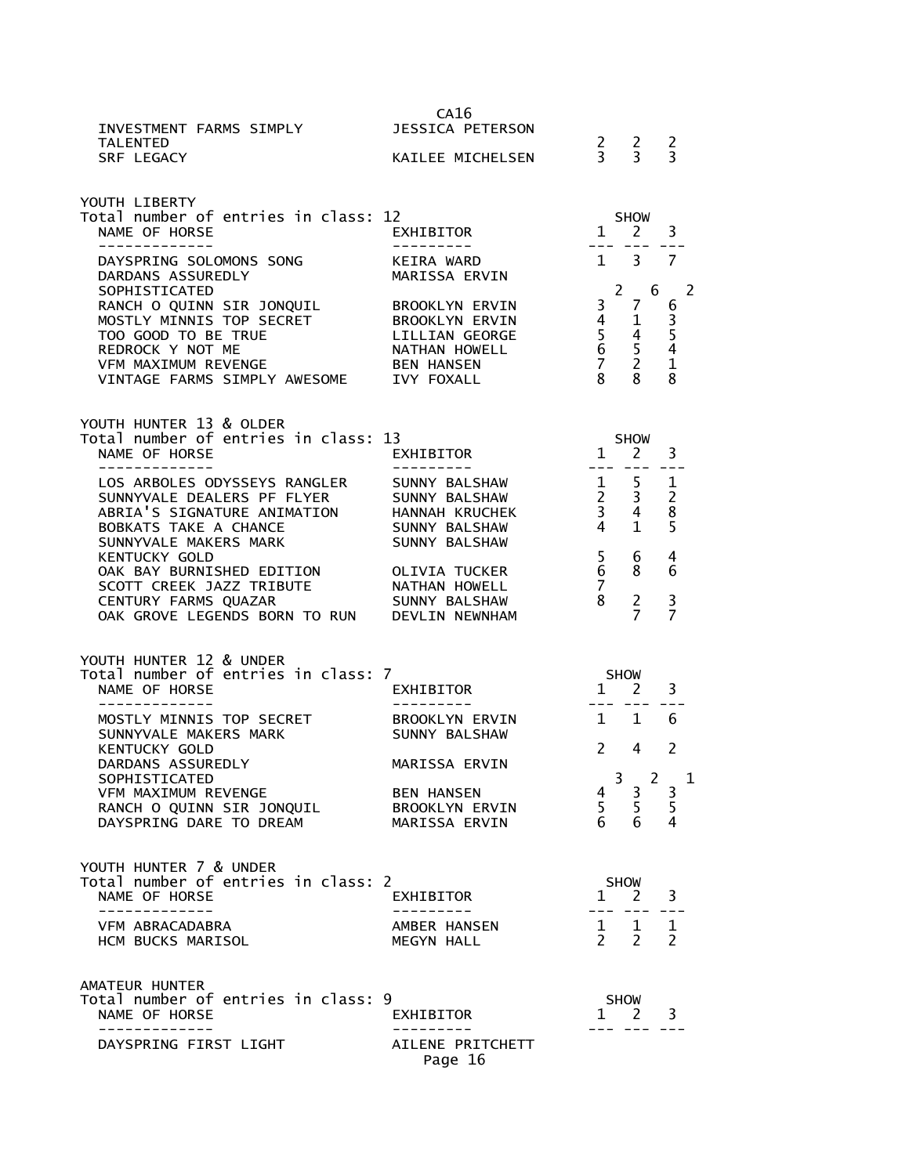| INVESTMENT FARMS SIMPLY<br><b>TALENTED</b><br>SRF LEGACY                                                                                                                                                                                                   | CA16<br><b>JESSICA PETERSON</b><br>KAILEE MICHELSEN              |                     | $\begin{array}{ccc} 2 & 2 & 2 \\ 3 & 3 & 3 \end{array}$                                                          |               |
|------------------------------------------------------------------------------------------------------------------------------------------------------------------------------------------------------------------------------------------------------------|------------------------------------------------------------------|---------------------|------------------------------------------------------------------------------------------------------------------|---------------|
| YOUTH LIBERTY<br>Total number of entries in class: 12<br>NAME OF HORSE<br>--------------                                                                                                                                                                   | .∠<br>EXHIBITOR<br>----------                                    |                     | SHOW<br>1<br>2<br>$\begin{array}{cccccc} - & - & - & - & - & - \\ & - & - & - & - & - \end{array}$               | 3             |
| DAYSPRING SOLOMONS SONG<br>DARDANS ASSUREDLY                                                                                                                                                                                                               | KEIRA WARD<br>MARISSA ERVIN                                      |                     | $1 \quad 3 \quad 7$                                                                                              |               |
| SOPHISTICATED<br>NANCH O QUINN SIR JONQUIL<br>MOSTLY MINNIS TOP SECRET<br>TOO GOOD TO BE TRUE<br>REDROCK Y NOT ME<br>TOO GOOD TO BE TRUE<br>NATHAN HOWELL<br>VFM MAXIMUM REVENGE<br>TERROCK TO ME<br>BEN HANSEN<br>VINTAGE FARMS SIMPLY AWESOME IVY FOXALL |                                                                  | $\frac{3}{2}$<br>8  | $2^{\circ}$<br>6<br>7<br>$\begin{array}{cccc} 4 & 1 & 3 \\ 5 & 4 & 5 \\ 6 & 5 & 4 \\ 7 & 2 & 1 \end{array}$<br>8 | 2<br>6<br>8   |
| YOUTH HUNTER 13 & OLDER<br>Total number of entries in class: 13                                                                                                                                                                                            |                                                                  |                     |                                                                                                                  |               |
| NAME OF HORSE                                                                                                                                                                                                                                              | EXHIBITOR<br>--------                                            |                     | SHOW<br>1 2<br>--- --- <b>-</b>                                                                                  | 3             |
| LOS ARBOLES ODYSSEYS RANGLER<br>LOS ARBOLES ODYSSEYS RANGLER<br>SUNNYVALE DEALERS PF FLYER<br>ABRIA'S SIGNATURE ANIMATION HANNAH KRUCHEK<br>BOBKATS TAKE A CHANCE<br>SUNNYVALE MAKERS MARK                                                                 | SUNNY BALSHAW<br>SUNNY BALSHAW<br>SUNNY BALSHAW<br>SUNNY BALSHAW | $4\overline{ }$     | $\begin{array}{ccccc}\n1 & 5 & 1 \\ 2 & 3 & 2 \\ 3 & 4 & 8\n\end{array}$<br>$\mathbf{1}$                         | 5             |
| <b>KENTUCKY GOLD</b><br>OAK BAY BURNISHED EDITION OLIVIA TUCKER                                                                                                                                                                                            |                                                                  | 5 <sub>1</sub><br>6 | 6<br>8                                                                                                           | 4<br>6        |
| SCOTT CREEK JAZZ TRIBUTE<br>CENTURY FARMS QUAZAR<br>OAK GROVE LEGENDS BORN TO RUN DEVLIN NEWNHAM                                                                                                                                                           | NATHAN HOWELL<br>SUNNY BALSHAW                                   | $\overline{7}$<br>8 | $\overline{2}$<br>$\overline{7}$                                                                                 | 3<br>7        |
| YOUTH HUNTER 12 & UNDER                                                                                                                                                                                                                                    |                                                                  |                     |                                                                                                                  |               |
| Total number of entries in class: 7<br>NAME OF HORSE                                                                                                                                                                                                       | EXHIBITOR                                                        |                     | <b>SHOW</b><br>$1 \quad 2$                                                                                       | 3             |
| MOSTLY MINNIS TOP SECRET<br>SUNNYVALE MAKERS MARK                                                                                                                                                                                                          | BROOKLYN ERVIN<br>SUNNY BALSHAW                                  |                     | $1 \quad 1$                                                                                                      | 6             |
| <b>KENTUCKY GOLD</b><br>DARDANS ASSUREDLY                                                                                                                                                                                                                  | MARISSA ERVIN                                                    | 2                   | 4                                                                                                                | $\mathcal{P}$ |
| SOPHISTICATED<br>VFM MAXIMUM REVENGE<br>RANCH O QUINN SIR JONQUIL<br>DAYSPRING DARE TO DREAM MARISSA ERVIN                                                                                                                                                 | BEN HANSEN<br>BROOKLYN ERVIN                                     |                     | 3 <sup>7</sup><br>$\begin{array}{ccc} 4 & 3 & 3 \\ 5 & 5 & 5 \\ 6 & 6 & 4 \end{array}$                           | $2 \quad 1$   |
| YOUTH HUNTER 7 & UNDER<br>Total number of entries in class: 2                                                                                                                                                                                              |                                                                  |                     |                                                                                                                  |               |
| NAME OF HORSE<br>-------------                                                                                                                                                                                                                             | EXHIBITOR                                                        |                     | SHOW<br>$1 \n2 \n3$                                                                                              |               |
| VFM ABRACADABRA<br>HCM BUCKS MARISOL                                                                                                                                                                                                                       | AMBER HANSEN<br>MEGYN HALL                                       |                     | $\begin{matrix} 1 & 1 & 1 \\ 2 & 2 & 2 \end{matrix}$                                                             |               |
| AMATEUR HUNTER<br>Total number of entries in class: 9                                                                                                                                                                                                      |                                                                  |                     | SHOW                                                                                                             |               |
| NAME OF HORSE<br>-----------                                                                                                                                                                                                                               | EXHIBITOR<br>--------                                            |                     | $1 \quad 2 \quad 3$<br>$   -$                                                                                    |               |
| DAYSPRING FIRST LIGHT                                                                                                                                                                                                                                      | AILENE PRITCHETT<br>Page 16                                      |                     |                                                                                                                  |               |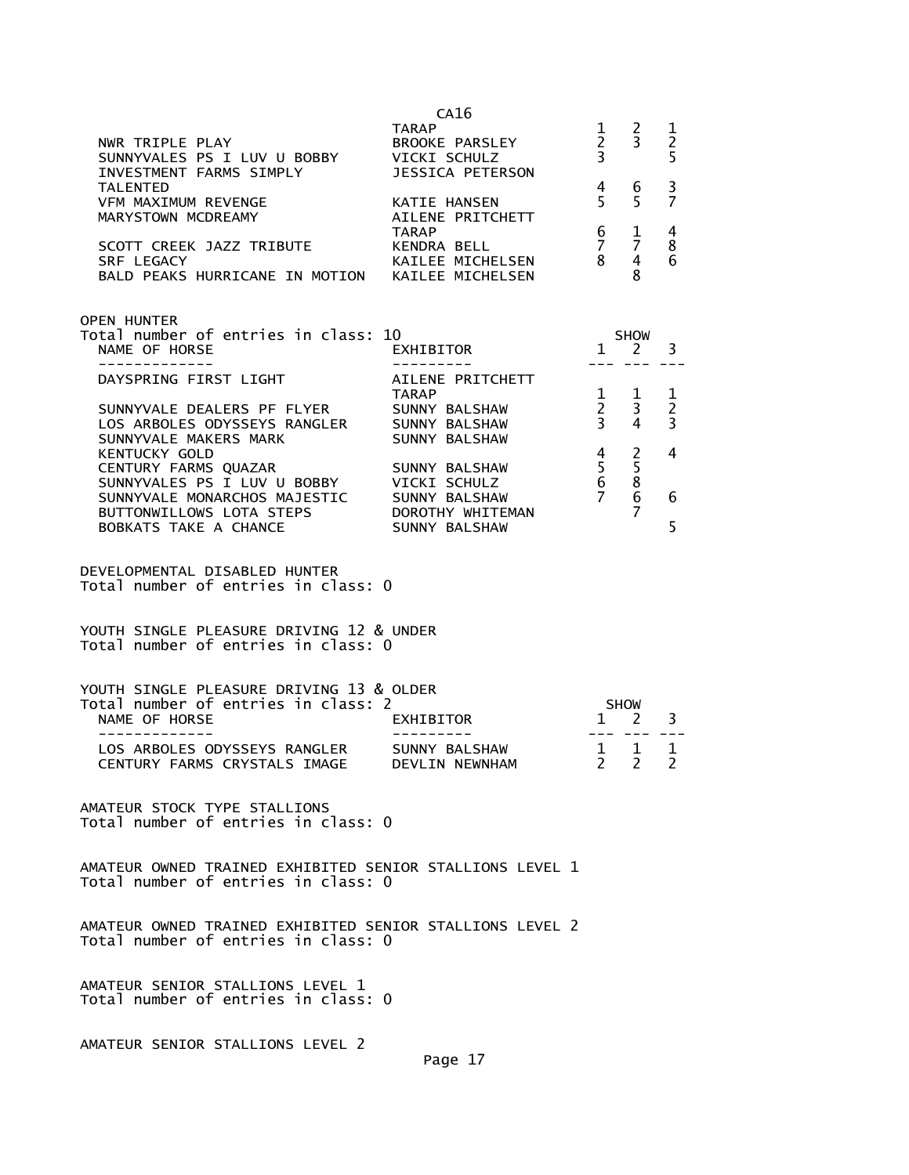| NWR TRIPLE PLAY<br>SUNNYVALES PS I LUV U BOBBY VICKI SCHULZ<br>INVESTMENT FARMS SIMPLY                                                                       | CA16<br><b>TARAP</b><br>BROOKE PARSLEY<br>JESSICA PETERSON                                    | $\mathbf{1}$<br>$\overline{2}$<br>$\overline{3}$      | 2<br>$\overline{3}$                | 1<br>$\overline{2}$<br>5                              |
|--------------------------------------------------------------------------------------------------------------------------------------------------------------|-----------------------------------------------------------------------------------------------|-------------------------------------------------------|------------------------------------|-------------------------------------------------------|
| <b>TALENTED</b><br><b>VFM MAXIMUM REVENGE</b><br>MARYSTOWN MCDREAMY                                                                                          | <b>KATIE HANSEN</b><br>AILENE PRITCHETT                                                       | 4<br>5                                                | 6<br>5                             | 3<br>$\overline{7}$                                   |
| SCOTT CREEK JAZZ TRIBUTE<br>SRF LEGACY<br>BALD PEAKS HURRICANE IN MOTION KAILEE MICHELSEN                                                                    | TARAP<br><b>KENDRA BELL</b><br>KAILEE MICHELSEN                                               | 6<br>$\overline{7}$<br>8                              | 1<br>7<br>4<br>8                   | 4<br>8<br>6                                           |
| <b>OPEN HUNTER</b><br>Total number of entries in class: 10<br>NAME OF HORSE<br>-------------                                                                 | EXHIBITOR<br>- - - - - - - - - <sup>-</sup>                                                   |                                                       | <b>SHOW</b><br>$1 \quad 2$         | 3                                                     |
| DAYSPRING FIRST LIGHT<br>SUNNYVALE DEALERS PF FLYER<br>LOS ARBOLES ODYSSEYS RANGLER<br>SUNNYVALE MAKERS MARK<br><b>KENTUCKY GOLD</b><br>CENTURY FARMS QUAZAR | AILENE PRITCHETT<br>TARAP<br>SUNNY BALSHAW<br>SUNNY BALSHAW<br>SUNNY BALSHAW<br>SUNNY BALSHAW | 1<br>$\mathbf{2}$<br>3 <sup>7</sup><br>$\overline{4}$ | $\mathbf{1}$<br>3<br>4             | $\mathbf{1}$<br>$\overline{c}$<br>$\overline{3}$<br>4 |
| SUNNYVALES PS I LUV U BOBBY<br>SUNNYVALE MONARCHOS MAJESTIC SUNNY BALSHAW<br>BUTTONWILLOWS LOTA STEPS<br>BOBKATS TAKE A CHANCE                               | VICKI SCHULZ<br>DOROTHY WHITEMAN<br>SUNNY BALSHAW                                             | $\frac{5}{6}$<br>$\overline{7}$                       | 2<br>5<br>8<br>6<br>$\overline{7}$ | 6<br>5                                                |
| DEVELOPMENTAL DISABLED HUNTER<br>Total number of entries in class: 0                                                                                         |                                                                                               |                                                       |                                    |                                                       |
| YOUTH SINGLE PLEASURE DRIVING 12 & UNDER<br>Total number of entries in class: 0                                                                              |                                                                                               |                                                       |                                    |                                                       |
| YOUTH SINGLE PLEASURE DRIVING 13 & OLDER<br>Total number of entries in class: 2<br>NAME OF HORSE<br>. _ _ _ _ _ _ _ _ _ _ _ _                                | EXHIBITOR                                                                                     | $\mathbf{1}$                                          | <b>SHOW</b><br>2                   | 3                                                     |
| LOS ARBOLES ODYSSEYS RANGLER<br>CENTURY FARMS CRYSTALS IMAGE                                                                                                 | SUNNY BALSHAW<br>DEVLIN NEWNHAM                                                               | $\mathbf{1}$<br>$2^{\sim}$                            | $\mathbf{1}$<br>$2^{\circ}$        | $\mathbf 1$<br>$\overline{2}$                         |
| AMATEUR STOCK TYPE STALLIONS<br>Total number of entries in class: 0                                                                                          |                                                                                               |                                                       |                                    |                                                       |
| AMATEUR OWNED TRAINED EXHIBITED SENIOR STALLIONS LEVEL 1<br>Total number of entries in class: 0                                                              |                                                                                               |                                                       |                                    |                                                       |
| AMATEUR OWNED TRAINED EXHIBITED SENIOR STALLIONS LEVEL 2<br>Total number of entries in class: 0                                                              |                                                                                               |                                                       |                                    |                                                       |
| AMATEUR SENIOR STALLIONS LEVEL 1<br>Total number of entries in class: 0                                                                                      |                                                                                               |                                                       |                                    |                                                       |
| AMATEUR SENIOR STALLIONS LEVEL 2                                                                                                                             | Page 17                                                                                       |                                                       |                                    |                                                       |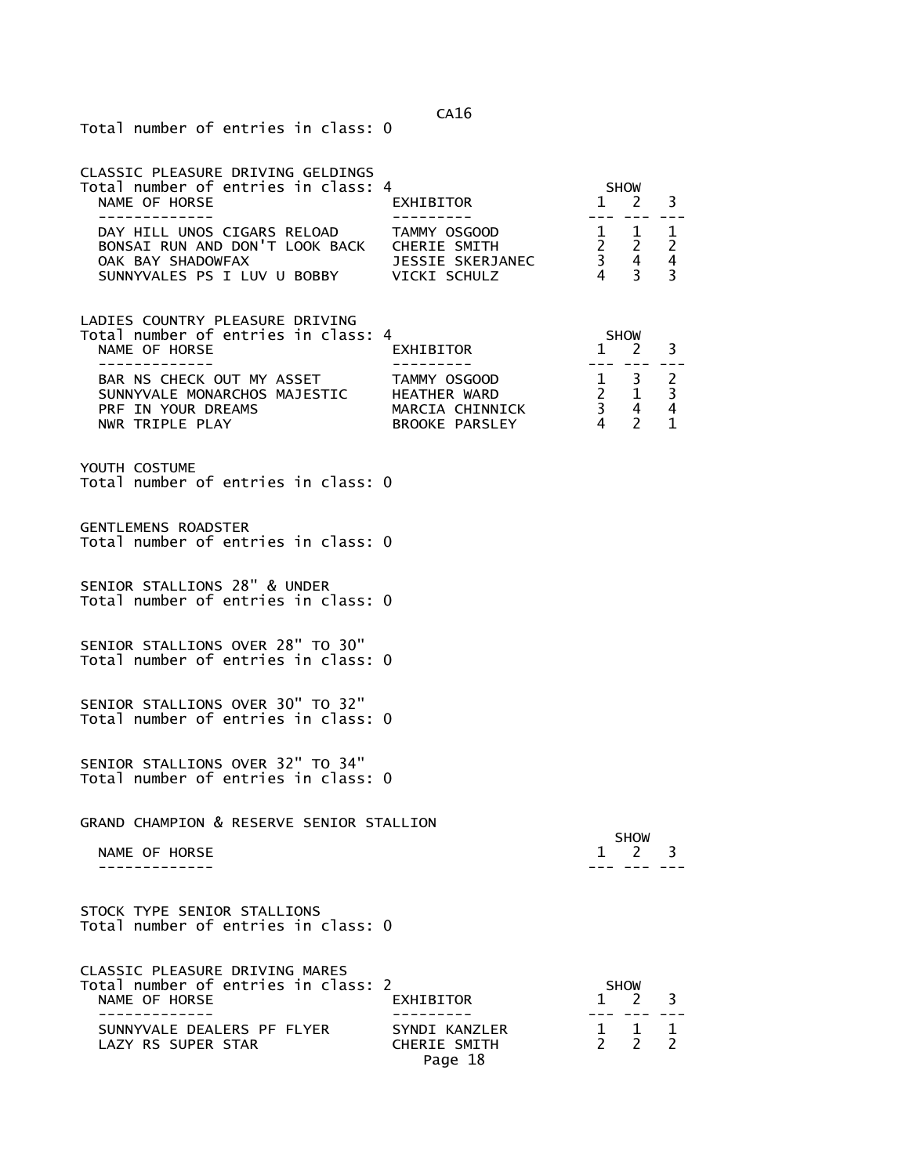Total number of entries in class: 0

| CLASSIC PLEASURE DRIVING GELDINGS<br>Total number of entries in class: 4<br>NAME OF HORSE<br>--------------                                                                                                                 | EXHIBITOR<br>----------                                                                                                                                   | $\mathbf{1}$<br>--- --- | SHOW<br>2                                                                                                                                                                                                                                                                                                                                                                                                        | 3<br>$\sim$ $\sim$ $\sim$ |
|-----------------------------------------------------------------------------------------------------------------------------------------------------------------------------------------------------------------------------|-----------------------------------------------------------------------------------------------------------------------------------------------------------|-------------------------|------------------------------------------------------------------------------------------------------------------------------------------------------------------------------------------------------------------------------------------------------------------------------------------------------------------------------------------------------------------------------------------------------------------|---------------------------|
| DAY HILL UNOS CIGARS RELOAD<br>BONSAI RUN AND DON'T LOOK BACK CHERIE SMITH<br>OAK BAY SHADOWFAX                         JESSIE SKERJANEC<br>SUNNYVALES PS I LUV U BOBBY                                                     | TAMMY OSGOOD<br>VICKI SCHULZ                                                                                                                              |                         | $\begin{array}{cccc} 1 & 1 & 1 \\ 2 & 2 & 2 \\ 3 & 4 & 4 \\ 4 & 3 & 3 \end{array}$                                                                                                                                                                                                                                                                                                                               |                           |
| LADIES COUNTRY PLEASURE DRIVING<br>Total number of entries in class: 4<br>NAME OF HORSE<br>-------------<br>BAR NS CHECK OUT MY ASSET TAMMY OSGOOD<br>SUNNYVALE MONARCHOS MAJESTIC<br>PRF IN YOUR DREAMS<br>NWR TRIPLE PLAY | EXHIBITOR<br>TAMMY OSGOOD 1 3 2<br>HEATHER WARD 2 1 3<br>MARCIA CHINNICK 3 4 4<br>BROOKE PARSLEY 4 2 1<br>HEATHER WARD<br>HEATHER WARD<br>MARCIA CHINNICK |                         | <b>SHOW</b><br>1 2                                                                                                                                                                                                                                                                                                                                                                                               | 3                         |
| YOUTH COSTUME<br>Total number of entries in class: 0                                                                                                                                                                        |                                                                                                                                                           |                         |                                                                                                                                                                                                                                                                                                                                                                                                                  |                           |
| <b>GENTLEMENS ROADSTER</b><br>Total number of entries in class: 0                                                                                                                                                           |                                                                                                                                                           |                         |                                                                                                                                                                                                                                                                                                                                                                                                                  |                           |
| SENIOR STALLIONS 28" & UNDER<br>Total number of entries in class: 0                                                                                                                                                         |                                                                                                                                                           |                         |                                                                                                                                                                                                                                                                                                                                                                                                                  |                           |
| SENIOR STALLIONS OVER 28" TO 30"<br>Total number of entries in class: 0                                                                                                                                                     |                                                                                                                                                           |                         |                                                                                                                                                                                                                                                                                                                                                                                                                  |                           |
| SENIOR STALLIONS OVER 30" TO 32"<br>Total number of entries in class: 0                                                                                                                                                     |                                                                                                                                                           |                         |                                                                                                                                                                                                                                                                                                                                                                                                                  |                           |
| SENIOR STALLIONS OVER 32" TO 34"<br>Total number of entries in class: 0                                                                                                                                                     |                                                                                                                                                           |                         |                                                                                                                                                                                                                                                                                                                                                                                                                  |                           |
| GRAND CHAMPION & RESERVE SENIOR STALLION                                                                                                                                                                                    |                                                                                                                                                           |                         |                                                                                                                                                                                                                                                                                                                                                                                                                  |                           |
| NAME OF HORSE                                                                                                                                                                                                               |                                                                                                                                                           | $\mathbf{1}$            | <b>SHOW</b><br>2<br>$\frac{1}{2} \frac{1}{2} \frac{1}{2} \frac{1}{2} \frac{1}{2} \frac{1}{2} \frac{1}{2} \frac{1}{2} \frac{1}{2} \frac{1}{2} \frac{1}{2} \frac{1}{2} \frac{1}{2} \frac{1}{2} \frac{1}{2} \frac{1}{2} \frac{1}{2} \frac{1}{2} \frac{1}{2} \frac{1}{2} \frac{1}{2} \frac{1}{2} \frac{1}{2} \frac{1}{2} \frac{1}{2} \frac{1}{2} \frac{1}{2} \frac{1}{2} \frac{1}{2} \frac{1}{2} \frac{1}{2} \frac{$ | 3                         |
| STOCK TYPE SENIOR STALLIONS<br>Total number of entries in class: 0                                                                                                                                                          |                                                                                                                                                           |                         |                                                                                                                                                                                                                                                                                                                                                                                                                  |                           |
| CLASSIC PLEASURE DRIVING MARES<br>Total number of entries in class: 2<br>NAME OF HORSE<br>---------                                                                                                                         | EXHIBITOR                                                                                                                                                 | $1 \quad 2$             | <b>SHOW</b>                                                                                                                                                                                                                                                                                                                                                                                                      | 3                         |
| SUNNYVALE DEALERS PF FLYER<br>LAZY RS SUPER STAR                                                                                                                                                                            | SYNDI KANZLER<br><b>CHERIE SMITH</b><br>Page 18                                                                                                           | $2 \quad 2$             | 1 1                                                                                                                                                                                                                                                                                                                                                                                                              | 1<br>$\mathcal{P}$        |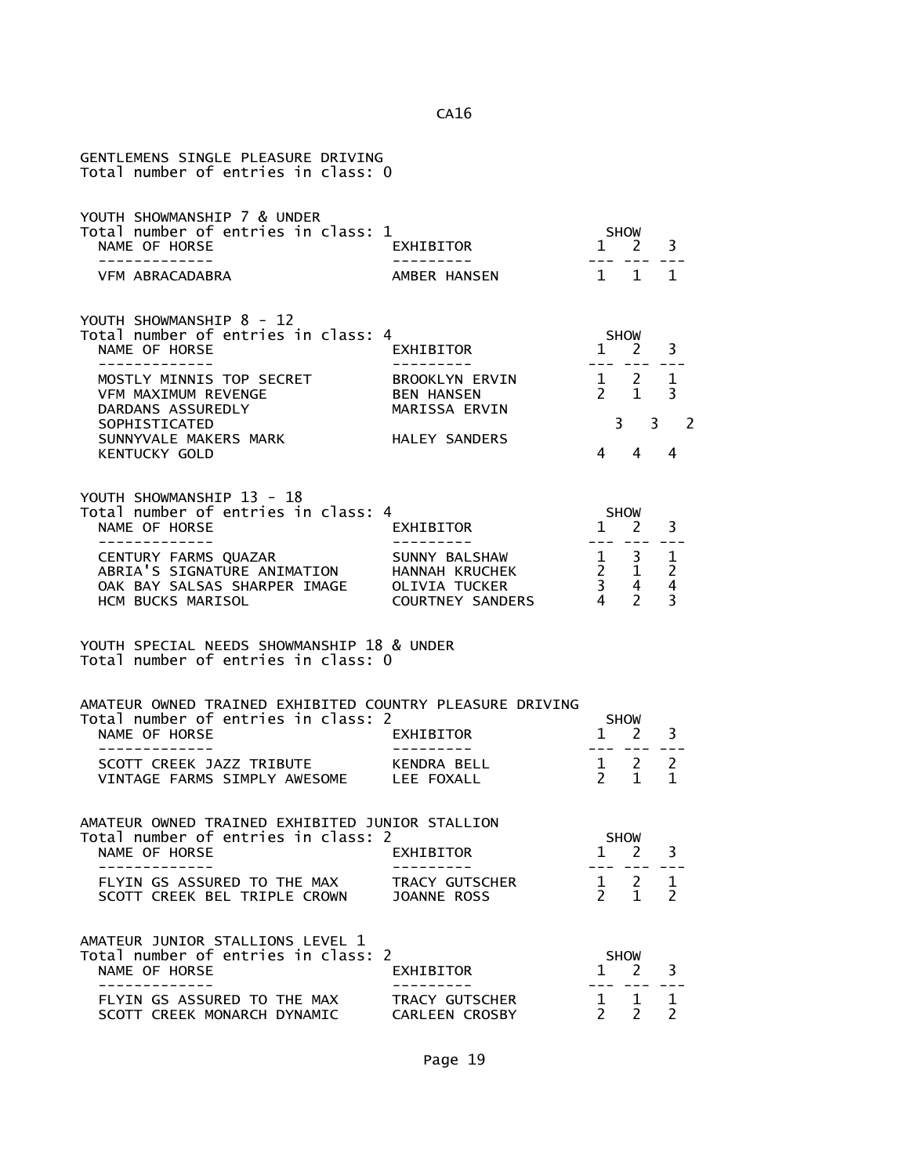| GENTLEMENS SINGLE PLEASURE DRIVING<br>Total number of entries in class: 0                                               |                                                      |                               |                                                                                                                                                                                                                                                                                                                                                                                                                                                                                                               |                           |
|-------------------------------------------------------------------------------------------------------------------------|------------------------------------------------------|-------------------------------|---------------------------------------------------------------------------------------------------------------------------------------------------------------------------------------------------------------------------------------------------------------------------------------------------------------------------------------------------------------------------------------------------------------------------------------------------------------------------------------------------------------|---------------------------|
| YOUTH SHOWMANSHIP 7 & UNDER<br>Total number of entries in class: 1<br>NAME OF HORSE                                     | EXHIBITOR                                            |                               | SHOW<br>$1 \n2$                                                                                                                                                                                                                                                                                                                                                                                                                                                                                               | 3                         |
| - - - - - - - - - - - -<br>VFM ABRACADABRA                                                                              | AMBER HANSEN                                         |                               | $\begin{array}{cccccccccc} \multicolumn{2}{c}{} & \multicolumn{2}{c}{} & \multicolumn{2}{c}{} & \multicolumn{2}{c}{} & \multicolumn{2}{c}{} & \multicolumn{2}{c}{} & \multicolumn{2}{c}{} & \multicolumn{2}{c}{} & \multicolumn{2}{c}{} & \multicolumn{2}{c}{} & \multicolumn{2}{c}{} & \multicolumn{2}{c}{} & \multicolumn{2}{c}{} & \multicolumn{2}{c}{} & \multicolumn{2}{c}{} & \multicolumn{2}{c}{} & \multicolumn{2}{c}{} & \multicolumn{2}{c}{} & \multicolumn{2}{c}{} & \mult$<br>$1 \quad 1 \quad 1$ |                           |
| YOUTH SHOWMANSHIP 8 - 12<br>Total number of entries in class: 4<br>NAME OF HORSE                                        | EXHIBITOR                                            |                               | SHOW<br>$1 \quad 2$                                                                                                                                                                                                                                                                                                                                                                                                                                                                                           | 3                         |
| - - - - - - - - - - -<br>MOSTLY MINNIS TOP SECRET<br><b>VFM MAXIMUM REVENGE</b><br>DARDANS ASSUREDLY                    | BROOKLYN ERVIN<br><b>BEN HANSEN</b><br>MARISSA ERVIN |                               | $\begin{array}{cccc} 1 & 2 & 1 \\ 2 & 1 & 3 \end{array}$                                                                                                                                                                                                                                                                                                                                                                                                                                                      |                           |
| SOPHISTICATED<br>SUNNYVALE MAKERS MARK HALEY SANDERS<br><b>KENTUCKY GOLD</b>                                            |                                                      |                               | 4 4                                                                                                                                                                                                                                                                                                                                                                                                                                                                                                           | $3 \quad 3 \quad 2$<br>-4 |
| YOUTH SHOWMANSHIP 13 - 18<br>Total number of entries in class: 4<br>NAME OF HORSE<br>--------------                     | EXHIBITOR                                            |                               | SHOW<br>$1 \quad 2$                                                                                                                                                                                                                                                                                                                                                                                                                                                                                           | 3                         |
| CENTURY FARMS QUAZAR<br>ABRIA'S SIGNATURE ANIMATION HANNAH KRUCHEK<br>OAK BAY SALSAS SHARPER IMAGE<br>HCM BUCKS MARISOL | SUNNY BALSHAW<br>OLIVIA TUCKER<br>COURTNEY SANDERS   |                               | $\begin{array}{ccccc} 1 & 3 & 1 \\ 2 & 1 & 2 \\ 3 & 4 & 4 \\ 4 & 2 & 3 \end{array}$                                                                                                                                                                                                                                                                                                                                                                                                                           |                           |
| YOUTH SPECIAL NEEDS SHOWMANSHIP 18 & UNDER<br>Total number of entries in class: 0                                       |                                                      |                               |                                                                                                                                                                                                                                                                                                                                                                                                                                                                                                               |                           |
| AMATEUR OWNED TRAINED EXHIBITED COUNTRY PLEASURE DRIVING<br>Total number of entries in class: 2<br>NAME OF HORSE        | EXHIBITOR                                            |                               | SHOW<br>$1 \quad 2$                                                                                                                                                                                                                                                                                                                                                                                                                                                                                           | 3                         |
| SCOTT CREEK JAZZ TRIBUTE<br>VINTAGE FARMS SIMPLY AWESOME LEE FOXALL                                                     | KENDRA BELL                                          |                               | --- ---<br>$1 \quad 2 \quad 2$<br>$2 \quad 1$                                                                                                                                                                                                                                                                                                                                                                                                                                                                 | 1                         |
| AMATEUR OWNED TRAINED EXHIBITED JUNIOR STALLION<br>Total number of entries in class: 2<br>NAME OF HORSE                 | EXHIBITOR<br>---------                               |                               | SHOW<br>$1 \quad 2 \quad 3$                                                                                                                                                                                                                                                                                                                                                                                                                                                                                   |                           |
| FLYIN GS ASSURED TO THE MAX<br>SCOTT CREEK BEL TRIPLE CROWN                                                             | TRACY GUTSCHER<br><b>JOANNE ROSS</b>                 | $2^{\circ}$                   | $\frac{1}{2}$ $\frac{2}{1}$<br>$\overline{1}$                                                                                                                                                                                                                                                                                                                                                                                                                                                                 | $\mathbf{1}$<br>2         |
| AMATEUR JUNIOR STALLIONS LEVEL 1<br>Total number of entries in class: 2<br>NAME OF HORSE<br>-------------               | EXHIBITOR                                            |                               | <b>SHOW</b><br>$1 \quad 2$                                                                                                                                                                                                                                                                                                                                                                                                                                                                                    | 3                         |
| FLYIN GS ASSURED TO THE MAX<br>SCOTT CREEK MONARCH DYNAMIC                                                              | TRACY GUTSCHER<br><b>CARLEEN CROSBY</b>              | $\mathbf{1}$<br>$\mathcal{P}$ | 1<br>$\mathcal{P}$                                                                                                                                                                                                                                                                                                                                                                                                                                                                                            | 1<br>$\mathcal{P}$        |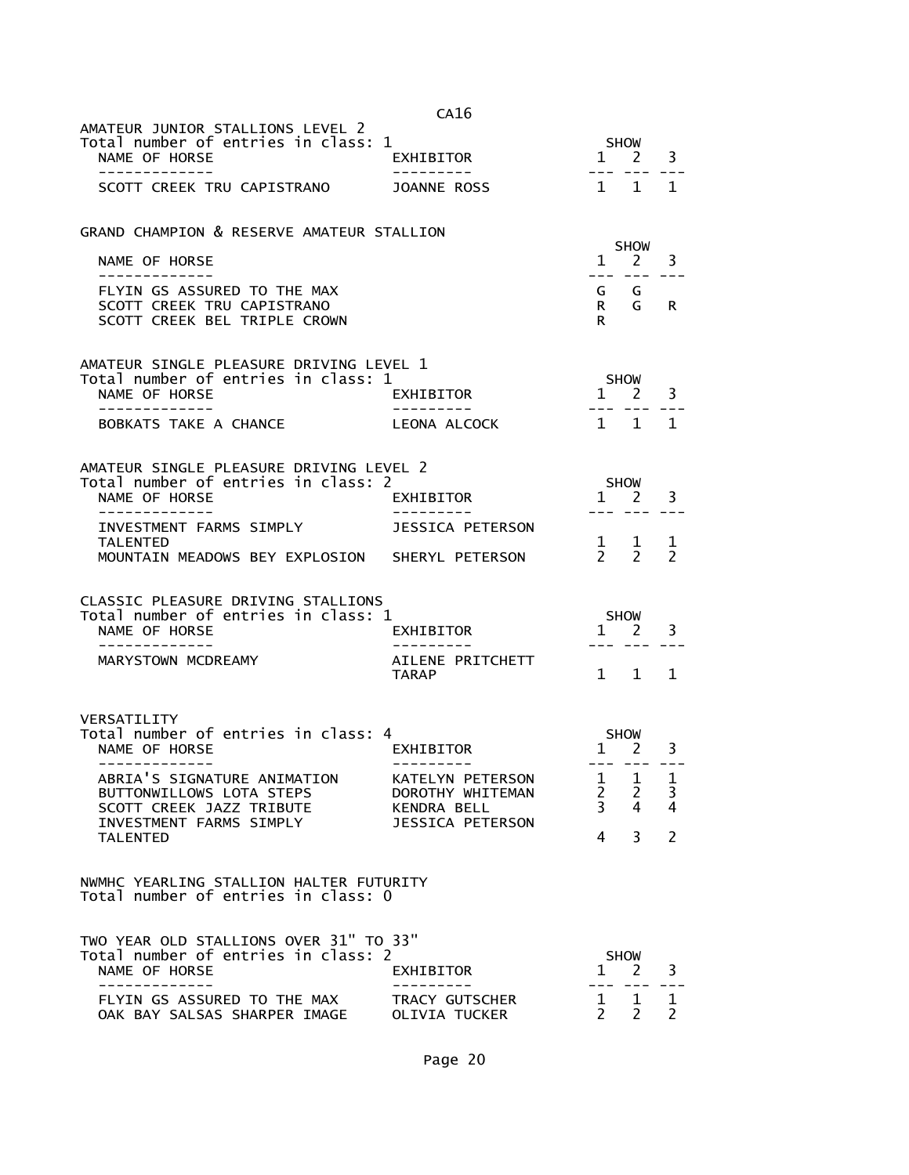|                                                                                                                                   | CA16                                                                           |                                                       |                                              |                               |
|-----------------------------------------------------------------------------------------------------------------------------------|--------------------------------------------------------------------------------|-------------------------------------------------------|----------------------------------------------|-------------------------------|
| AMATEUR JUNIOR STALLIONS LEVEL 2<br>Total number of entries in class: 1<br>NAME OF HORSE                                          | EXHIBITOR                                                                      |                                                       | SHOW<br>$1 \quad 2$                          | 3                             |
| -------------<br>SCOTT CREEK TRU CAPISTRANO                                                                                       | JOANNE ROSS                                                                    | $1\quad1$                                             |                                              | 1                             |
| GRAND CHAMPION & RESERVE AMATEUR STALLION<br>NAME OF HORSE                                                                        |                                                                                |                                                       | <b>SHOW</b><br>$1 \quad 2$                   | 3                             |
| -------------<br>FLYIN GS ASSURED TO THE MAX<br>SCOTT CREEK TRU CAPISTRANO<br>SCOTT CREEK BEL TRIPLE CROWN                        |                                                                                | R<br>R.                                               | G G<br>G                                     | R.                            |
| AMATEUR SINGLE PLEASURE DRIVING LEVEL 1<br>Total number of entries in class: 1<br>NAME OF HORSE                                   | EXHIBITOR                                                                      |                                                       | SHOW<br>$1 \quad 2 \quad 3$                  |                               |
| . _ _ _ _ _ _ _ _ _ _ _ _<br>BOBKATS TAKE A CHANCE                                                                                | ----------<br>LEONA ALCOCK                                                     |                                                       | --- --- ---<br>1 1                           | 1                             |
| AMATEUR SINGLE PLEASURE DRIVING LEVEL 2<br>Total number of entries in class: 2<br>NAME OF HORSE                                   | EXHIBITOR<br>----------                                                        | $\mathbf{1}$                                          | SHOW<br>$\overline{2}$                       | 3                             |
| INVESTMENT FARMS SIMPLY<br><b>TALENTED</b><br>MOUNTAIN MEADOWS BEY EXPLOSION SHERYL PETERSON                                      | JESSICA PETERSON                                                               |                                                       | $\begin{matrix} 1 & 1 \\ 2 & 2 \end{matrix}$ | 1<br>$\mathcal{P}$            |
| CLASSIC PLEASURE DRIVING STALLIONS<br>Total number of entries in class: 1<br>NAME OF HORSE                                        | EXHIBITOR                                                                      |                                                       | SHOW<br>$1 \quad 2$                          | 3                             |
| ------------<br>MARYSTOWN MCDREAMY                                                                                                | AILENE PRITCHETT<br>TARAP                                                      |                                                       | 1 1                                          | $\mathbf{1}$                  |
| VERSATILITY<br>Total number of entries in class: 4<br>NAME OF HORSE                                                               | EXHIBITOR                                                                      |                                                       | SHOW<br>$1 \quad 2$                          | 3                             |
| ABRIA'S SIGNATURE ANIMATION<br>BUTTONWILLOWS LOTA STEPS<br>SCOTT CREEK JAZZ TRIBUTE<br>INVESTMENT FARMS SIMPLY<br><b>TALENTED</b> | KATELYN PETERSON<br>DOROTHY WHITEMAN<br>KENDRA BELL<br><b>JESSICA PETERSON</b> | $\mathbf{1}$<br>$\overline{2}$<br>$\overline{3}$<br>4 | $\mathbf{1}$<br>$\overline{2}$<br>4<br>3     | 1<br>3<br>4<br>$\overline{2}$ |
| NWMHC YEARLING STALLION HALTER FUTURITY<br>Total number of entries in class: 0                                                    |                                                                                |                                                       |                                              |                               |
| TWO YEAR OLD STALLIONS OVER 31" TO 33"<br>Total number of entries in class: 2<br>NAME OF HORSE                                    | EXHIBITOR                                                                      | 1                                                     | <b>SHOW</b><br>2                             | 3                             |
| _____________<br>FLYIN GS ASSURED TO THE MAX<br>OAK BAY SALSAS SHARPER IMAGE                                                      | - - - - - - - - - -<br>TRACY GUTSCHER<br>OLIVIA TUCKER                         | ---<br>$\mathbf{1}$<br>$\mathcal{P}$                  | $\mathbf 1$<br>2                             | 1<br>2                        |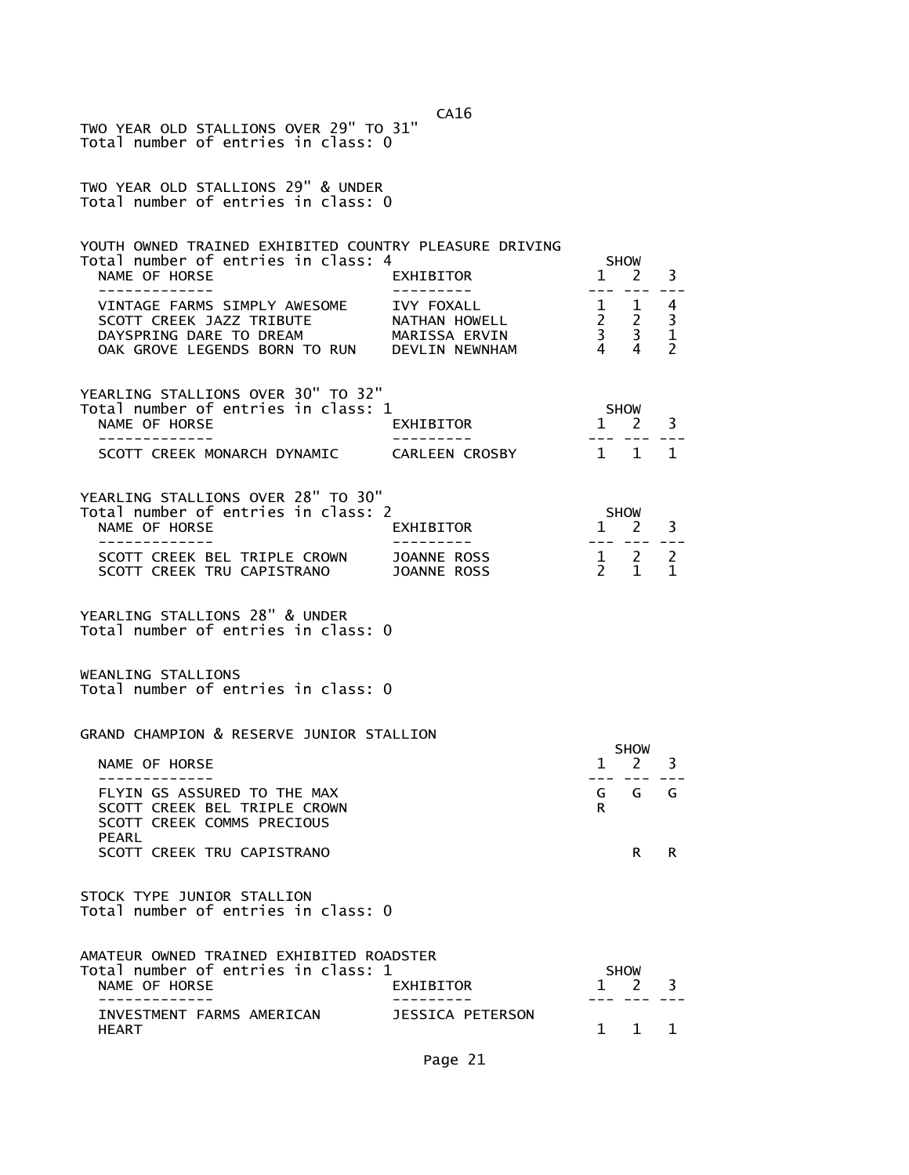|                                                                                                                                     | CA16                                         |                |                                                                                             |                                                    |
|-------------------------------------------------------------------------------------------------------------------------------------|----------------------------------------------|----------------|---------------------------------------------------------------------------------------------|----------------------------------------------------|
| TWO YEAR OLD STALLIONS OVER 29" TO 31"<br>Total number of entries in class: 0                                                       |                                              |                |                                                                                             |                                                    |
| TWO YEAR OLD STALLIONS 29" & UNDER<br>Total number of entries in class: 0                                                           |                                              |                |                                                                                             |                                                    |
| YOUTH OWNED TRAINED EXHIBITED COUNTRY PLEASURE DRIVING<br>Total number of entries in class: 4<br>NAME OF HORSE                      | EXHIBITOR                                    |                | <b>SHOW</b><br>$1 \quad 2$                                                                  | 3                                                  |
| VINTAGE FARMS SIMPLY AWESOME<br>SCOTT CREEK JAZZ TRIBUTE<br>DAYSPRING DARE TO DREAM<br>OAK GROVE LEGENDS BORN TO RUN DEVLIN NEWNHAM | IVY FOXALL<br>NATHAN HOWELL<br>MARISSA ERVIN | $\overline{4}$ | $\begin{array}{ccc} 1 & 1 \\ 2 & 2 \\ 3 & 3 \\ 4 & 4 \end{array}$<br>$\boldsymbol{\Lambda}$ | 4<br>3<br>$\mathbf{1}$<br>$\overline{\phantom{0}}$ |
| YEARLING STALLIONS OVER 30" TO 32"<br>Total number of entries in class: 1<br>NAME OF HORSE<br>EXHIBITOR                             |                                              |                | <b>SHOW</b><br>2                                                                            | 3                                                  |
| -------------<br>SCOTT CREEK MONARCH DYNAMIC                                                                                        | CARLEEN CROSBY                               | 1 1            |                                                                                             | 1                                                  |
| YEARLING STALLIONS OVER 28" TO 30"<br>Total number of entries in class: 2<br>NAME OF HORSE<br>EXHIBITOR<br>. _ _ _ _ _ _ _ _ _ _    |                                              |                | <b>SHOW</b><br>3<br>$1 \quad 2$                                                             |                                                    |
| SCOTT CREEK BEL TRIPLE CROWN<br>SCOTT CREEK TRU CAPISTRANO                                                                          | JOANNE ROSS<br>JOANNE ROSS                   | $\mathcal{P}$  | $\frac{1}{2}$ $\frac{2}{3}$<br>$\mathbf{1}$                                                 | $\overline{2}$<br>$\mathbf{1}$                     |
| YEARLING STALLIONS 28" & UNDER<br>Total number of entries in class: 0                                                               |                                              |                |                                                                                             |                                                    |
| WEANLING STALLIONS<br>Total number of entries in class: 0                                                                           |                                              |                |                                                                                             |                                                    |
| GRAND CHAMPION & RESERVE JUNIOR STALLION                                                                                            |                                              |                |                                                                                             |                                                    |
| NAME OF HORSE                                                                                                                       |                                              | $\mathbf{1}$   | <b>SHOW</b><br>2                                                                            | 3                                                  |
| FLYIN GS ASSURED TO THE MAX<br>SCOTT CREEK BEL TRIPLE CROWN<br>SCOTT CREEK COMMS PRECIOUS<br>PEARL                                  |                                              | R              | GGG                                                                                         |                                                    |
| SCOTT CREEK TRU CAPISTRANO                                                                                                          |                                              |                | R                                                                                           | R.                                                 |
| STOCK TYPE JUNIOR STALLION<br>Total number of entries in class: 0                                                                   |                                              |                |                                                                                             |                                                    |
| AMATEUR OWNED TRAINED EXHIBITED ROADSTER<br>Total number of entries in class: 1<br>NAME OF HORSE<br>-----------                     | EXHIBITOR                                    | 1              | <b>SHOW</b><br><sup>2</sup>                                                                 | 3                                                  |
| INVESTMENT FARMS AMERICAN<br>HEART                                                                                                  | JESSICA PETERSON                             | $\mathbf{1}$   | $\mathbf{1}$                                                                                | 1                                                  |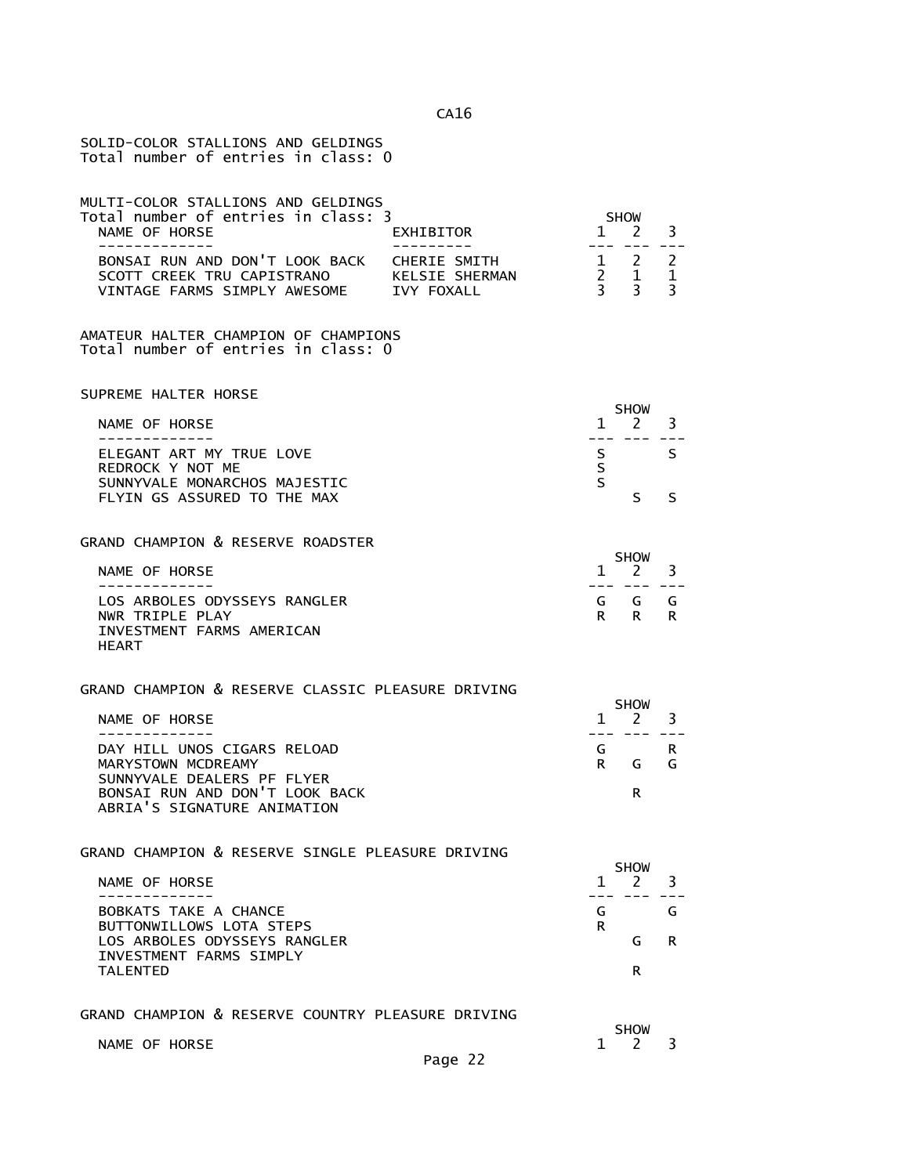| SOLID-COLOR STALLIONS AND GELDINGS<br>Total number of entries in class: 0                                                       |                                |                                                                                                                                                                                                                                      |                                               |                                                  |
|---------------------------------------------------------------------------------------------------------------------------------|--------------------------------|--------------------------------------------------------------------------------------------------------------------------------------------------------------------------------------------------------------------------------------|-----------------------------------------------|--------------------------------------------------|
| MULTI-COLOR STALLIONS AND GELDINGS<br>Total number of entries in class: 3<br>NAME OF HORSE<br>-------------                     | EXHIBITOR                      | $\mathbf{1}$<br>$---$                                                                                                                                                                                                                | <b>SHOW</b><br>$\mathbf{2}$                   | 3                                                |
| BONSAI RUN AND DON'T LOOK BACK<br>SCOTT CREEK TRU CAPISTRANO<br>VINTAGE FARMS SIMPLY AWESOME IVY FOXALL                         | CHERIE SMITH<br>KELSIE SHERMAN | $\frac{2}{3}$                                                                                                                                                                                                                        | $1 \quad 2$<br>$\mathbf{1}$<br>$\overline{3}$ | $\overline{2}$<br>$\mathbf{1}$<br>$\overline{3}$ |
| AMATEUR HALTER CHAMPION OF CHAMPIONS<br>Total number of entries in class: 0                                                     |                                |                                                                                                                                                                                                                                      |                                               |                                                  |
| SUPREME HALTER HORSE                                                                                                            |                                |                                                                                                                                                                                                                                      | <b>SHOW</b>                                   |                                                  |
| NAME OF HORSE<br>-------------                                                                                                  |                                | $\mathbf{1}$<br>$  -$                                                                                                                                                                                                                | 2<br>$\frac{1}{2}$                            | 3                                                |
| ELEGANT ART MY TRUE LOVE<br>REDROCK Y NOT ME                                                                                    |                                | S.<br>S.                                                                                                                                                                                                                             |                                               | S.                                               |
| SUNNYVALE MONARCHOS MAJESTIC<br>FLYIN GS ASSURED TO THE MAX                                                                     |                                | $\mathsf{S}$                                                                                                                                                                                                                         | S                                             | S                                                |
| GRAND CHAMPION & RESERVE ROADSTER                                                                                               |                                |                                                                                                                                                                                                                                      |                                               |                                                  |
| NAME OF HORSE<br>. _ _ _ _ _ _ _ _ _ _ _ _                                                                                      |                                | $1 \quad$                                                                                                                                                                                                                            | SHOW<br>$\overline{2}$<br>___ ___             | 3                                                |
| LOS ARBOLES ODYSSEYS RANGLER<br>NWR TRIPLE PLAY<br>INVESTMENT FARMS AMERICAN<br><b>HEART</b>                                    |                                | G and the set of the set of the set of the set of the set of the set of the set of the set of the set of the set of the set of the set of the set of the set of the set of the set of the set of the set of the set of the set<br>R. | G<br>R                                        | G<br>R                                           |
| GRAND CHAMPION & RESERVE CLASSIC PLEASURE DRIVING                                                                               |                                |                                                                                                                                                                                                                                      | <b>SHOW</b>                                   |                                                  |
| NAME OF HORSE                                                                                                                   |                                | $\mathbf{1}$<br>---                                                                                                                                                                                                                  | $2^{\circ}$                                   | 3                                                |
| DAY HILL UNOS CIGARS RELOAD<br>MARYSTOWN MCDREAMY                                                                               |                                | G<br>R.                                                                                                                                                                                                                              | G                                             | R.<br>G                                          |
| SUNNYVALE DEALERS PF FLYER<br>BONSAI RUN AND DON'T LOOK BACK<br>ABRIA'S SIGNATURE ANIMATION                                     |                                |                                                                                                                                                                                                                                      | R                                             |                                                  |
| GRAND CHAMPION & RESERVE SINGLE PLEASURE DRIVING                                                                                |                                |                                                                                                                                                                                                                                      | <b>SHOW</b>                                   |                                                  |
| NAME OF HORSE                                                                                                                   |                                | $\mathbf{1}$                                                                                                                                                                                                                         | $\overline{2}$                                | 3                                                |
| BOBKATS TAKE A CHANCE<br>BUTTONWILLOWS LOTA STEPS<br>LOS ARBOLES ODYSSEYS RANGLER<br>INVESTMENT FARMS SIMPLY<br><b>TALENTED</b> |                                | G<br>R                                                                                                                                                                                                                               | G<br>R.                                       | G<br>R                                           |
| GRAND CHAMPION & RESERVE COUNTRY PLEASURE DRIVING                                                                               |                                |                                                                                                                                                                                                                                      |                                               |                                                  |
| NAME OF HORSE                                                                                                                   |                                | $\mathbf{1}$                                                                                                                                                                                                                         | <b>SHOW</b><br>2                              | 3                                                |